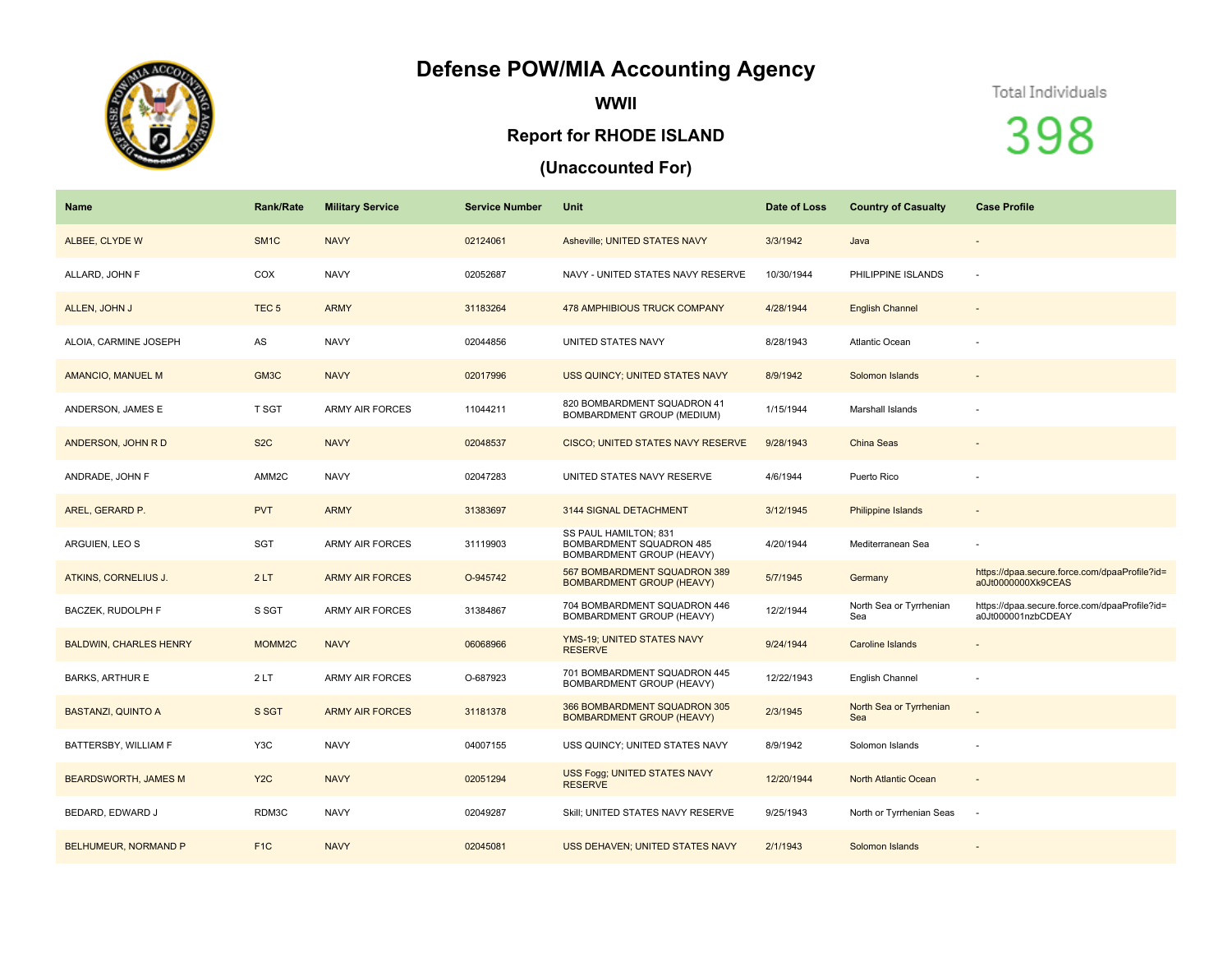## **Defense POW/MIA Accounting Agency**



**WWII**

## **Report for RHODE ISLAND**

## **(Unaccounted For)**

Total Individuals

398

| Name                          | <b>Rank/Rate</b> | <b>Military Service</b> | <b>Service Number</b> | Unit                                                                           | Date of Loss | <b>Country of Casualty</b>     | <b>Case Profile</b>                                                 |
|-------------------------------|------------------|-------------------------|-----------------------|--------------------------------------------------------------------------------|--------------|--------------------------------|---------------------------------------------------------------------|
| ALBEE, CLYDE W                | SM <sub>1C</sub> | <b>NAVY</b>             | 02124061              | Asheville; UNITED STATES NAVY                                                  | 3/3/1942     | Java                           |                                                                     |
| ALLARD. JOHN F                | COX              | <b>NAVY</b>             | 02052687              | NAVY - UNITED STATES NAVY RESERVE                                              | 10/30/1944   | PHILIPPINE ISLANDS             | $\sim$                                                              |
| ALLEN, JOHN J                 | TEC <sub>5</sub> | <b>ARMY</b>             | 31183264              | <b>478 AMPHIBIOUS TRUCK COMPANY</b>                                            | 4/28/1944    | <b>English Channel</b>         |                                                                     |
| ALOIA, CARMINE JOSEPH         | AS               | <b>NAVY</b>             | 02044856              | UNITED STATES NAVY                                                             | 8/28/1943    | Atlantic Ocean                 |                                                                     |
| AMANCIO, MANUEL M             | GM3C             | <b>NAVY</b>             | 02017996              | USS QUINCY; UNITED STATES NAVY                                                 | 8/9/1942     | Solomon Islands                |                                                                     |
| ANDERSON, JAMES E             | T SGT            | <b>ARMY AIR FORCES</b>  | 11044211              | 820 BOMBARDMENT SQUADRON 41<br>BOMBARDMENT GROUP (MEDIUM)                      | 1/15/1944    | Marshall Islands               |                                                                     |
| ANDERSON, JOHN R D            | S <sub>2</sub> C | <b>NAVY</b>             | 02048537              | CISCO; UNITED STATES NAVY RESERVE                                              | 9/28/1943    | <b>China Seas</b>              |                                                                     |
| ANDRADE, JOHN F               | AMM2C            | <b>NAVY</b>             | 02047283              | UNITED STATES NAVY RESERVE                                                     | 4/6/1944     | Puerto Rico                    |                                                                     |
| AREL, GERARD P.               | <b>PVT</b>       | <b>ARMY</b>             | 31383697              | 3144 SIGNAL DETACHMENT                                                         | 3/12/1945    | Philippine Islands             |                                                                     |
| ARGUIEN, LEO S                | <b>SGT</b>       | <b>ARMY AIR FORCES</b>  | 31119903              | SS PAUL HAMILTON; 831<br>BOMBARDMENT SQUADRON 485<br>BOMBARDMENT GROUP (HEAVY) | 4/20/1944    | Mediterranean Sea              |                                                                     |
| ATKINS, CORNELIUS J.          | 2LT              | <b>ARMY AIR FORCES</b>  | O-945742              | 567 BOMBARDMENT SQUADRON 389<br><b>BOMBARDMENT GROUP (HEAVY)</b>               | 5/7/1945     | Germany                        | https://dpaa.secure.force.com/dpaaProfile?id=<br>a0Jt0000000Xk9CEAS |
| BACZEK, RUDOLPH F             | S SGT            | <b>ARMY AIR FORCES</b>  | 31384867              | 704 BOMBARDMENT SQUADRON 446<br>BOMBARDMENT GROUP (HEAVY)                      | 12/2/1944    | North Sea or Tyrrhenian<br>Sea | https://dpaa.secure.force.com/dpaaProfile?id=<br>a0Jt000001nzbCDEAY |
| <b>BALDWIN, CHARLES HENRY</b> | MOMM2C           | <b>NAVY</b>             | 06068966              | YMS-19: UNITED STATES NAVY<br><b>RESERVE</b>                                   | 9/24/1944    | Caroline Islands               | $\overline{\phantom{a}}$                                            |
| <b>BARKS, ARTHUR E</b>        | 2LT              | <b>ARMY AIR FORCES</b>  | O-687923              | 701 BOMBARDMENT SQUADRON 445<br>BOMBARDMENT GROUP (HEAVY)                      | 12/22/1943   | English Channel                |                                                                     |
| <b>BASTANZI, QUINTO A</b>     | S SGT            | <b>ARMY AIR FORCES</b>  | 31181378              | 366 BOMBARDMENT SQUADRON 305<br><b>BOMBARDMENT GROUP (HEAVY)</b>               | 2/3/1945     | North Sea or Tyrrhenian<br>Sea |                                                                     |
| BATTERSBY, WILLIAM F          | Y3C              | <b>NAVY</b>             | 04007155              | USS QUINCY; UNITED STATES NAVY                                                 | 8/9/1942     | Solomon Islands                |                                                                     |
| <b>BEARDSWORTH, JAMES M</b>   | Y <sub>2</sub> C | <b>NAVY</b>             | 02051294              | USS Fogg; UNITED STATES NAVY<br><b>RESERVE</b>                                 | 12/20/1944   | <b>North Atlantic Ocean</b>    | $\sim$                                                              |
| BEDARD, EDWARD J              | RDM3C            | <b>NAVY</b>             | 02049287              | Skill; UNITED STATES NAVY RESERVE                                              | 9/25/1943    | North or Tyrrhenian Seas       | $\sim$                                                              |
| <b>BELHUMEUR, NORMAND P</b>   | F <sub>1</sub> C | <b>NAVY</b>             | 02045081              | <b>USS DEHAVEN; UNITED STATES NAVY</b>                                         | 2/1/1943     | Solomon Islands                |                                                                     |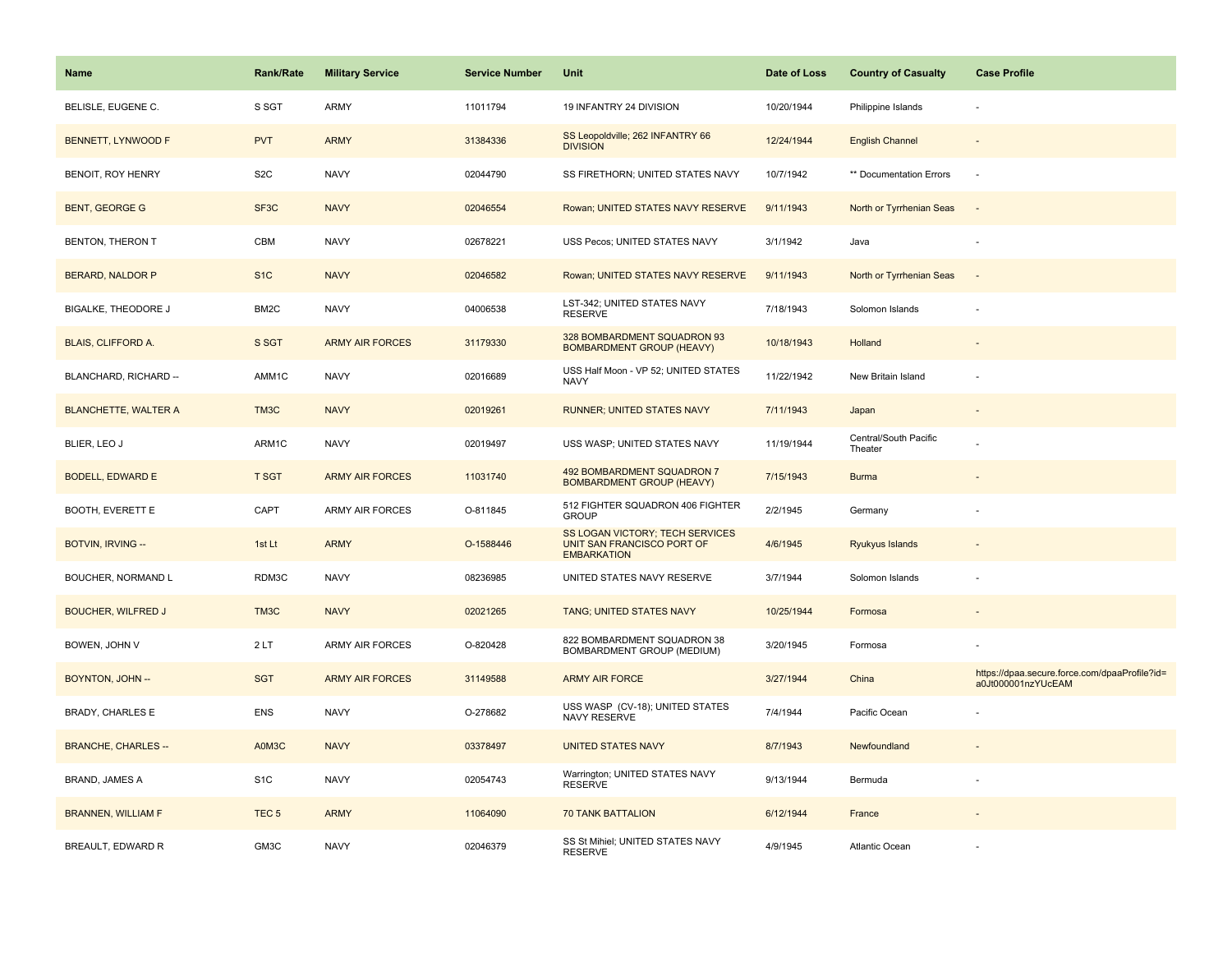| Name                        | <b>Rank/Rate</b>  | <b>Military Service</b> | <b>Service Number</b> | Unit                                                                                | Date of Loss | <b>Country of Casualty</b>       | <b>Case Profile</b>                                                 |
|-----------------------------|-------------------|-------------------------|-----------------------|-------------------------------------------------------------------------------------|--------------|----------------------------------|---------------------------------------------------------------------|
| BELISLE, EUGENE C.          | S SGT             | ARMY                    | 11011794              | 19 INFANTRY 24 DIVISION                                                             | 10/20/1944   | Philippine Islands               |                                                                     |
| BENNETT, LYNWOOD F          | <b>PVT</b>        | <b>ARMY</b>             | 31384336              | SS Leopoldville; 262 INFANTRY 66<br><b>DIVISION</b>                                 | 12/24/1944   | <b>English Channel</b>           |                                                                     |
| BENOIT, ROY HENRY           | S <sub>2</sub> C  | <b>NAVY</b>             | 02044790              | SS FIRETHORN; UNITED STATES NAVY                                                    | 10/7/1942    | ** Documentation Errors          | $\sim$                                                              |
| <b>BENT, GEORGE G</b>       | SF <sub>3</sub> C | <b>NAVY</b>             | 02046554              | Rowan; UNITED STATES NAVY RESERVE                                                   | 9/11/1943    | North or Tyrrhenian Seas         |                                                                     |
| <b>BENTON, THERON T</b>     | CBM               | <b>NAVY</b>             | 02678221              | USS Pecos; UNITED STATES NAVY                                                       | 3/1/1942     | Java                             |                                                                     |
| BERARD, NALDOR P            | S <sub>1</sub> C  | <b>NAVY</b>             | 02046582              | Rowan; UNITED STATES NAVY RESERVE                                                   | 9/11/1943    | North or Tyrrhenian Seas         | $\sim$                                                              |
| BIGALKE, THEODORE J         | BM2C              | <b>NAVY</b>             | 04006538              | LST-342; UNITED STATES NAVY<br><b>RESERVE</b>                                       | 7/18/1943    | Solomon Islands                  |                                                                     |
| BLAIS, CLIFFORD A.          | S SGT             | <b>ARMY AIR FORCES</b>  | 31179330              | 328 BOMBARDMENT SQUADRON 93<br><b>BOMBARDMENT GROUP (HEAVY)</b>                     | 10/18/1943   | Holland                          |                                                                     |
| BLANCHARD, RICHARD --       | AMM1C             | <b>NAVY</b>             | 02016689              | USS Half Moon - VP 52; UNITED STATES<br><b>NAVY</b>                                 | 11/22/1942   | New Britain Island               |                                                                     |
| <b>BLANCHETTE, WALTER A</b> | TM <sub>3</sub> C | <b>NAVY</b>             | 02019261              | <b>RUNNER; UNITED STATES NAVY</b>                                                   | 7/11/1943    | Japan                            |                                                                     |
| BLIER, LEO J                | ARM1C             | <b>NAVY</b>             | 02019497              | USS WASP; UNITED STATES NAVY                                                        | 11/19/1944   | Central/South Pacific<br>Theater |                                                                     |
| <b>BODELL, EDWARD E</b>     | <b>T SGT</b>      | <b>ARMY AIR FORCES</b>  | 11031740              | 492 BOMBARDMENT SQUADRON 7<br><b>BOMBARDMENT GROUP (HEAVY)</b>                      | 7/15/1943    | <b>Burma</b>                     |                                                                     |
| BOOTH, EVERETT E            | CAPT              | <b>ARMY AIR FORCES</b>  | O-811845              | 512 FIGHTER SQUADRON 406 FIGHTER<br><b>GROUP</b>                                    | 2/2/1945     | Germany                          |                                                                     |
| BOTVIN, IRVING --           | 1st Lt            | <b>ARMY</b>             | O-1588446             | SS LOGAN VICTORY; TECH SERVICES<br>UNIT SAN FRANCISCO PORT OF<br><b>EMBARKATION</b> | 4/6/1945     | Ryukyus Islands                  |                                                                     |
| BOUCHER, NORMAND L          | RDM3C             | <b>NAVY</b>             | 08236985              | UNITED STATES NAVY RESERVE                                                          | 3/7/1944     | Solomon Islands                  |                                                                     |
| <b>BOUCHER, WILFRED J</b>   | TM3C              | <b>NAVY</b>             | 02021265              | TANG; UNITED STATES NAVY                                                            | 10/25/1944   | Formosa                          |                                                                     |
| BOWEN, JOHN V               | 2LT               | ARMY AIR FORCES         | O-820428              | 822 BOMBARDMENT SQUADRON 38<br>BOMBARDMENT GROUP (MEDIUM)                           | 3/20/1945    | Formosa                          |                                                                     |
| BOYNTON, JOHN --            | <b>SGT</b>        | <b>ARMY AIR FORCES</b>  | 31149588              | <b>ARMY AIR FORCE</b>                                                               | 3/27/1944    | China                            | https://dpaa.secure.force.com/dpaaProfile?id=<br>a0Jt000001nzYUcEAM |
| <b>BRADY, CHARLES E</b>     | <b>ENS</b>        | <b>NAVY</b>             | O-278682              | USS WASP (CV-18); UNITED STATES<br><b>NAVY RESERVE</b>                              | 7/4/1944     | Pacific Ocean                    |                                                                     |
| <b>BRANCHE, CHARLES --</b>  | A0M3C             | <b>NAVY</b>             | 03378497              | <b>UNITED STATES NAVY</b>                                                           | 8/7/1943     | Newfoundland                     |                                                                     |
| <b>BRAND, JAMES A</b>       | S <sub>1</sub> C  | <b>NAVY</b>             | 02054743              | Warrington; UNITED STATES NAVY<br><b>RESERVE</b>                                    | 9/13/1944    | Bermuda                          |                                                                     |
| <b>BRANNEN, WILLIAM F</b>   | TEC <sub>5</sub>  | <b>ARMY</b>             | 11064090              | <b>70 TANK BATTALION</b>                                                            | 6/12/1944    | France                           |                                                                     |
| BREAULT, EDWARD R           | GM3C              | <b>NAVY</b>             | 02046379              | SS St Mihiel; UNITED STATES NAVY<br><b>RESERVE</b>                                  | 4/9/1945     | <b>Atlantic Ocean</b>            |                                                                     |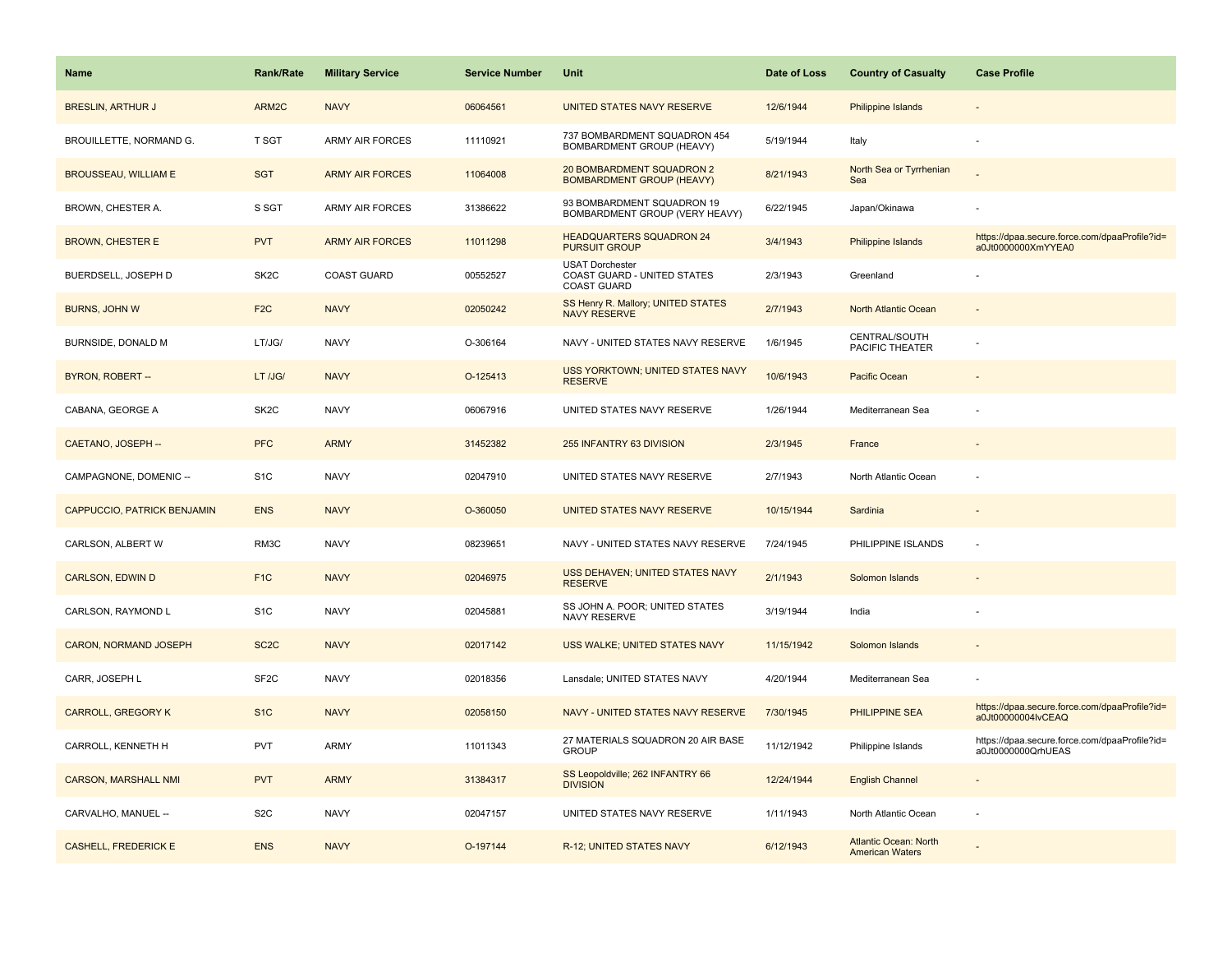| <b>Name</b>                        | <b>Rank/Rate</b>  | <b>Military Service</b> | <b>Service Number</b> | Unit                                                                        | Date of Loss | <b>Country of Casualty</b>                             | <b>Case Profile</b>                                                 |
|------------------------------------|-------------------|-------------------------|-----------------------|-----------------------------------------------------------------------------|--------------|--------------------------------------------------------|---------------------------------------------------------------------|
| <b>BRESLIN, ARTHUR J</b>           | ARM2C             | <b>NAVY</b>             | 06064561              | UNITED STATES NAVY RESERVE                                                  | 12/6/1944    | <b>Philippine Islands</b>                              |                                                                     |
| BROUILLETTE, NORMAND G.            | T SGT             | <b>ARMY AIR FORCES</b>  | 11110921              | 737 BOMBARDMENT SQUADRON 454<br>BOMBARDMENT GROUP (HEAVY)                   | 5/19/1944    | Italy                                                  |                                                                     |
| <b>BROUSSEAU, WILLIAM E</b>        | <b>SGT</b>        | <b>ARMY AIR FORCES</b>  | 11064008              | 20 BOMBARDMENT SQUADRON 2<br><b>BOMBARDMENT GROUP (HEAVY)</b>               | 8/21/1943    | North Sea or Tyrrhenian<br>Sea                         |                                                                     |
| BROWN, CHESTER A.                  | S SGT             | <b>ARMY AIR FORCES</b>  | 31386622              | 93 BOMBARDMENT SQUADRON 19<br>BOMBARDMENT GROUP (VERY HEAVY)                | 6/22/1945    | Japan/Okinawa                                          |                                                                     |
| <b>BROWN, CHESTER E</b>            | <b>PVT</b>        | <b>ARMY AIR FORCES</b>  | 11011298              | <b>HEADQUARTERS SQUADRON 24</b><br><b>PURSUIT GROUP</b>                     | 3/4/1943     | Philippine Islands                                     | https://dpaa.secure.force.com/dpaaProfile?id=<br>a0Jt0000000XmYYEA0 |
| BUERDSELL, JOSEPH D                | SK <sub>2</sub> C | <b>COAST GUARD</b>      | 00552527              | <b>USAT Dorchester</b><br>COAST GUARD - UNITED STATES<br><b>COAST GUARD</b> | 2/3/1943     | Greenland                                              |                                                                     |
| <b>BURNS, JOHN W</b>               | F <sub>2</sub> C  | <b>NAVY</b>             | 02050242              | SS Henry R. Mallory; UNITED STATES<br><b>NAVY RESERVE</b>                   | 2/7/1943     | North Atlantic Ocean                                   | $\sim$                                                              |
| BURNSIDE, DONALD M                 | LT/JG/            | <b>NAVY</b>             | O-306164              | NAVY - UNITED STATES NAVY RESERVE                                           | 1/6/1945     | CENTRAL/SOUTH<br>PACIFIC THEATER                       |                                                                     |
| BYRON, ROBERT-                     | LT /JG/           | <b>NAVY</b>             | O-125413              | <b>USS YORKTOWN; UNITED STATES NAVY</b><br><b>RESERVE</b>                   | 10/6/1943    | Pacific Ocean                                          |                                                                     |
| CABANA, GEORGE A                   | SK <sub>2</sub> C | <b>NAVY</b>             | 06067916              | UNITED STATES NAVY RESERVE                                                  | 1/26/1944    | Mediterranean Sea                                      |                                                                     |
| CAETANO, JOSEPH --                 | <b>PFC</b>        | <b>ARMY</b>             | 31452382              | 255 INFANTRY 63 DIVISION                                                    | 2/3/1945     | France                                                 |                                                                     |
| CAMPAGNONE, DOMENIC --             | S <sub>1</sub> C  | <b>NAVY</b>             | 02047910              | UNITED STATES NAVY RESERVE                                                  | 2/7/1943     | North Atlantic Ocean                                   |                                                                     |
| <b>CAPPUCCIO, PATRICK BENJAMIN</b> | <b>ENS</b>        | <b>NAVY</b>             | O-360050              | UNITED STATES NAVY RESERVE                                                  | 10/15/1944   | Sardinia                                               |                                                                     |
| CARLSON, ALBERT W                  | RM3C              | <b>NAVY</b>             | 08239651              | NAVY - UNITED STATES NAVY RESERVE                                           | 7/24/1945    | PHILIPPINE ISLANDS                                     | $\sim$                                                              |
| <b>CARLSON, EDWIN D</b>            | F <sub>1C</sub>   | <b>NAVY</b>             | 02046975              | USS DEHAVEN; UNITED STATES NAVY<br><b>RESERVE</b>                           | 2/1/1943     | Solomon Islands                                        |                                                                     |
| CARLSON, RAYMOND L                 | S <sub>1</sub> C  | <b>NAVY</b>             | 02045881              | SS JOHN A. POOR; UNITED STATES<br>NAVY RESERVE                              | 3/19/1944    | India                                                  |                                                                     |
| CARON, NORMAND JOSEPH              | SC <sub>2</sub> C | <b>NAVY</b>             | 02017142              | USS WALKE; UNITED STATES NAVY                                               | 11/15/1942   | Solomon Islands                                        |                                                                     |
| CARR, JOSEPH L                     | SF <sub>2</sub> C | <b>NAVY</b>             | 02018356              | Lansdale; UNITED STATES NAVY                                                | 4/20/1944    | Mediterranean Sea                                      |                                                                     |
| <b>CARROLL, GREGORY K</b>          | S <sub>1C</sub>   | <b>NAVY</b>             | 02058150              | NAVY - UNITED STATES NAVY RESERVE                                           | 7/30/1945    | <b>PHILIPPINE SEA</b>                                  | https://dpaa.secure.force.com/dpaaProfile?id=<br>a0Jt00000004IvCEAQ |
| CARROLL, KENNETH H                 | <b>PVT</b>        | ARMY                    | 11011343              | 27 MATERIALS SQUADRON 20 AIR BASE<br><b>GROUP</b>                           | 11/12/1942   | Philippine Islands                                     | https://dpaa.secure.force.com/dpaaProfile?id=<br>a0Jt0000000QrhUEAS |
| <b>CARSON, MARSHALL NMI</b>        | <b>PVT</b>        | <b>ARMY</b>             | 31384317              | SS Leopoldville; 262 INFANTRY 66<br><b>DIVISION</b>                         | 12/24/1944   | <b>English Channel</b>                                 |                                                                     |
| CARVALHO, MANUEL --                | S <sub>2</sub> C  | <b>NAVY</b>             | 02047157              | UNITED STATES NAVY RESERVE                                                  | 1/11/1943    | North Atlantic Ocean                                   |                                                                     |
| <b>CASHELL, FREDERICK E</b>        | <b>ENS</b>        | <b>NAVY</b>             | O-197144              | R-12; UNITED STATES NAVY                                                    | 6/12/1943    | <b>Atlantic Ocean: North</b><br><b>American Waters</b> |                                                                     |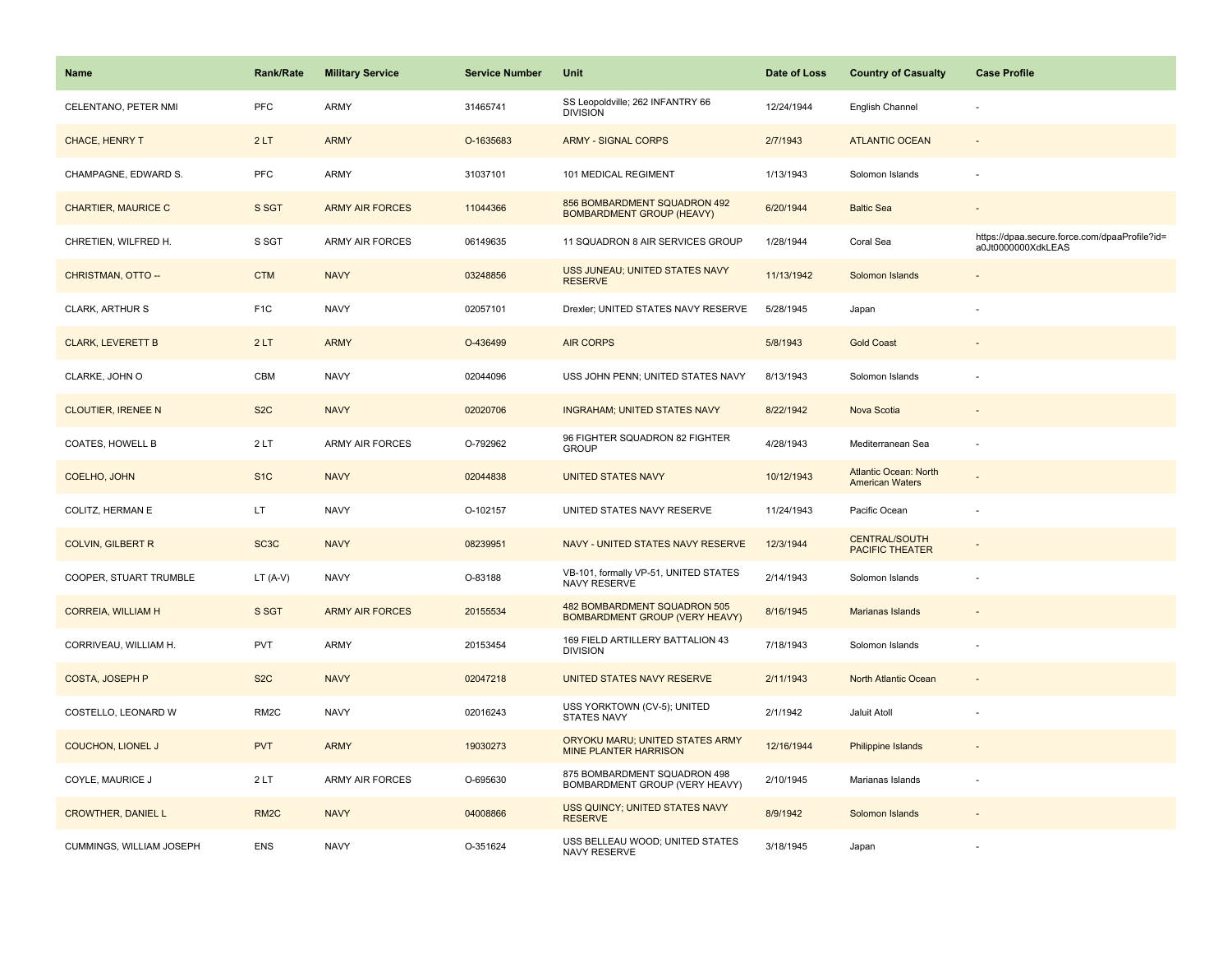| <b>Name</b>                | <b>Rank/Rate</b>  | <b>Military Service</b> | <b>Service Number</b> | Unit                                                                  | Date of Loss | <b>Country of Casualty</b>                             | <b>Case Profile</b>                                                 |
|----------------------------|-------------------|-------------------------|-----------------------|-----------------------------------------------------------------------|--------------|--------------------------------------------------------|---------------------------------------------------------------------|
| CELENTANO, PETER NMI       | PFC               | <b>ARMY</b>             | 31465741              | SS Leopoldville; 262 INFANTRY 66<br><b>DIVISION</b>                   | 12/24/1944   | English Channel                                        |                                                                     |
| CHACE, HENRY T             | 2LT               | <b>ARMY</b>             | O-1635683             | <b>ARMY - SIGNAL CORPS</b>                                            | 2/7/1943     | <b>ATLANTIC OCEAN</b>                                  | $\sim$                                                              |
| CHAMPAGNE, EDWARD S.       | <b>PFC</b>        | <b>ARMY</b>             | 31037101              | 101 MEDICAL REGIMENT                                                  | 1/13/1943    | Solomon Islands                                        |                                                                     |
| <b>CHARTIER, MAURICE C</b> | S SGT             | <b>ARMY AIR FORCES</b>  | 11044366              | 856 BOMBARDMENT SQUADRON 492<br><b>BOMBARDMENT GROUP (HEAVY)</b>      | 6/20/1944    | <b>Baltic Sea</b>                                      |                                                                     |
| CHRETIEN, WILFRED H.       | S SGT             | <b>ARMY AIR FORCES</b>  | 06149635              | 11 SQUADRON 8 AIR SERVICES GROUP                                      | 1/28/1944    | Coral Sea                                              | https://dpaa.secure.force.com/dpaaProfile?id=<br>a0Jt0000000XdkLEAS |
| CHRISTMAN, OTTO --         | <b>CTM</b>        | <b>NAVY</b>             | 03248856              | USS JUNEAU; UNITED STATES NAVY<br><b>RESERVE</b>                      | 11/13/1942   | Solomon Islands                                        |                                                                     |
| CLARK, ARTHUR S            | F <sub>1</sub> C  | <b>NAVY</b>             | 02057101              | Drexler; UNITED STATES NAVY RESERVE                                   | 5/28/1945    | Japan                                                  |                                                                     |
| <b>CLARK, LEVERETT B</b>   | 2LT               | <b>ARMY</b>             | O-436499              | <b>AIR CORPS</b>                                                      | 5/8/1943     | <b>Gold Coast</b>                                      |                                                                     |
| CLARKE, JOHN O             | CBM               | <b>NAVY</b>             | 02044096              | USS JOHN PENN; UNITED STATES NAVY                                     | 8/13/1943    | Solomon Islands                                        |                                                                     |
| <b>CLOUTIER, IRENEE N</b>  | S <sub>2</sub> C  | <b>NAVY</b>             | 02020706              | <b>INGRAHAM; UNITED STATES NAVY</b>                                   | 8/22/1942    | Nova Scotia                                            |                                                                     |
| COATES, HOWELL B           | 2LT               | <b>ARMY AIR FORCES</b>  | O-792962              | 96 FIGHTER SQUADRON 82 FIGHTER<br><b>GROUP</b>                        | 4/28/1943    | Mediterranean Sea                                      |                                                                     |
| COELHO, JOHN               | S <sub>1C</sub>   | <b>NAVY</b>             | 02044838              | <b>UNITED STATES NAVY</b>                                             | 10/12/1943   | <b>Atlantic Ocean: North</b><br><b>American Waters</b> |                                                                     |
| COLITZ, HERMAN E           | LT.               | <b>NAVY</b>             | O-102157              | UNITED STATES NAVY RESERVE                                            | 11/24/1943   | Pacific Ocean                                          |                                                                     |
| <b>COLVIN, GILBERT R</b>   | SC <sub>3</sub> C | <b>NAVY</b>             | 08239951              | NAVY - UNITED STATES NAVY RESERVE                                     | 12/3/1944    | <b>CENTRAL/SOUTH</b><br>PACIFIC THEATER                |                                                                     |
| COOPER, STUART TRUMBLE     | $LT(A-V)$         | <b>NAVY</b>             | O-83188               | VB-101, formally VP-51, UNITED STATES<br>NAVY RESERVE                 | 2/14/1943    | Solomon Islands                                        |                                                                     |
| <b>CORREIA, WILLIAM H</b>  | S SGT             | <b>ARMY AIR FORCES</b>  | 20155534              | 482 BOMBARDMENT SQUADRON 505<br><b>BOMBARDMENT GROUP (VERY HEAVY)</b> | 8/16/1945    | Marianas Islands                                       |                                                                     |
| CORRIVEAU, WILLIAM H.      | <b>PVT</b>        | <b>ARMY</b>             | 20153454              | 169 FIELD ARTILLERY BATTALION 43<br><b>DIVISION</b>                   | 7/18/1943    | Solomon Islands                                        |                                                                     |
| COSTA, JOSEPH P            | S <sub>2</sub> C  | <b>NAVY</b>             | 02047218              | UNITED STATES NAVY RESERVE                                            | 2/11/1943    | North Atlantic Ocean                                   |                                                                     |
| COSTELLO, LEONARD W        | RM <sub>2</sub> C | <b>NAVY</b>             | 02016243              | USS YORKTOWN (CV-5); UNITED<br>STATES NAVY                            | 2/1/1942     | Jaluit Atoll                                           | ÷,                                                                  |
| <b>COUCHON, LIONEL J</b>   | <b>PVT</b>        | <b>ARMY</b>             | 19030273              | ORYOKU MARU; UNITED STATES ARMY<br><b>MINE PLANTER HARRISON</b>       | 12/16/1944   | Philippine Islands                                     |                                                                     |
| COYLE, MAURICE J           | 2LT               | <b>ARMY AIR FORCES</b>  | O-695630              | 875 BOMBARDMENT SQUADRON 498<br>BOMBARDMENT GROUP (VERY HEAVY)        | 2/10/1945    | Marianas Islands                                       |                                                                     |
| <b>CROWTHER, DANIEL L</b>  | RM <sub>2</sub> C | <b>NAVY</b>             | 04008866              | USS QUINCY; UNITED STATES NAVY<br><b>RESERVE</b>                      | 8/9/1942     | Solomon Islands                                        |                                                                     |
| CUMMINGS, WILLIAM JOSEPH   | <b>ENS</b>        | <b>NAVY</b>             | O-351624              | USS BELLEAU WOOD; UNITED STATES<br>NAVY RESERVE                       | 3/18/1945    | Japan                                                  |                                                                     |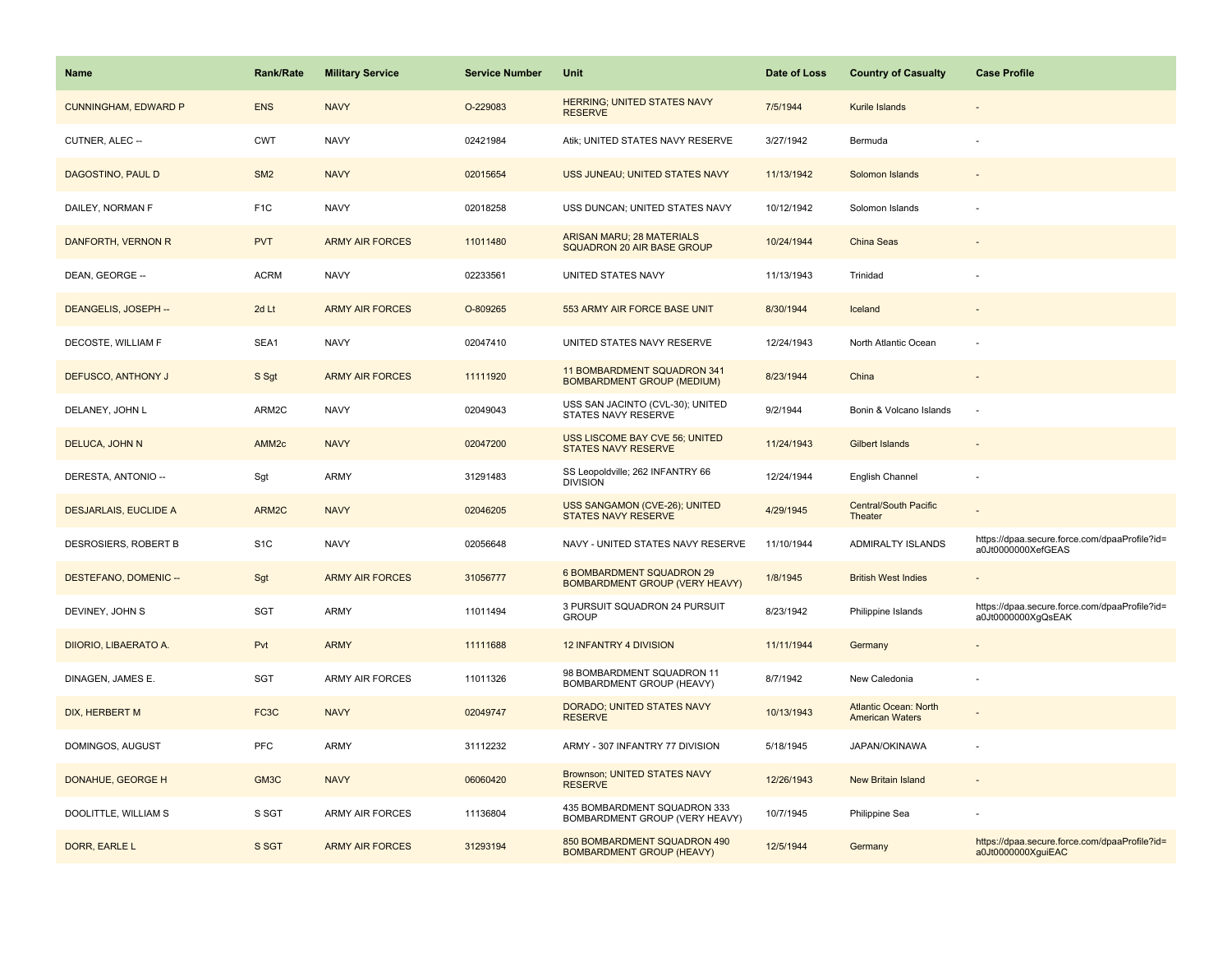| <b>Name</b>                  | <b>Rank/Rate</b>  | <b>Military Service</b> | <b>Service Number</b> | Unit                                                               | Date of Loss | <b>Country of Casualty</b>                             | <b>Case Profile</b>                                                 |
|------------------------------|-------------------|-------------------------|-----------------------|--------------------------------------------------------------------|--------------|--------------------------------------------------------|---------------------------------------------------------------------|
| <b>CUNNINGHAM, EDWARD P</b>  | <b>ENS</b>        | <b>NAVY</b>             | O-229083              | <b>HERRING; UNITED STATES NAVY</b><br><b>RESERVE</b>               | 7/5/1944     | Kurile Islands                                         |                                                                     |
| CUTNER, ALEC --              | <b>CWT</b>        | <b>NAVY</b>             | 02421984              | Atik; UNITED STATES NAVY RESERVE                                   | 3/27/1942    | Bermuda                                                |                                                                     |
| DAGOSTINO, PAUL D            | SM <sub>2</sub>   | <b>NAVY</b>             | 02015654              | USS JUNEAU; UNITED STATES NAVY                                     | 11/13/1942   | Solomon Islands                                        |                                                                     |
| DAILEY, NORMAN F             | F <sub>1C</sub>   | <b>NAVY</b>             | 02018258              | USS DUNCAN; UNITED STATES NAVY                                     | 10/12/1942   | Solomon Islands                                        |                                                                     |
| DANFORTH, VERNON R           | <b>PVT</b>        | <b>ARMY AIR FORCES</b>  | 11011480              | <b>ARISAN MARU; 28 MATERIALS</b><br>SQUADRON 20 AIR BASE GROUP     | 10/24/1944   | China Seas                                             |                                                                     |
| DEAN, GEORGE --              | <b>ACRM</b>       | <b>NAVY</b>             | 02233561              | UNITED STATES NAVY                                                 | 11/13/1943   | Trinidad                                               |                                                                     |
| DEANGELIS, JOSEPH --         | 2d Lt             | <b>ARMY AIR FORCES</b>  | O-809265              | 553 ARMY AIR FORCE BASE UNIT                                       | 8/30/1944    | Iceland                                                |                                                                     |
| DECOSTE, WILLIAM F           | SEA1              | <b>NAVY</b>             | 02047410              | UNITED STATES NAVY RESERVE                                         | 12/24/1943   | North Atlantic Ocean                                   |                                                                     |
| DEFUSCO, ANTHONY J           | S Sgt             | <b>ARMY AIR FORCES</b>  | 11111920              | 11 BOMBARDMENT SQUADRON 341<br><b>BOMBARDMENT GROUP (MEDIUM)</b>   | 8/23/1944    | China                                                  |                                                                     |
| DELANEY, JOHN L              | ARM2C             | <b>NAVY</b>             | 02049043              | USS SAN JACINTO (CVL-30); UNITED<br>STATES NAVY RESERVE            | 9/2/1944     | Bonin & Volcano Islands                                |                                                                     |
| DELUCA, JOHN N               | AMM <sub>2c</sub> | <b>NAVY</b>             | 02047200              | USS LISCOME BAY CVE 56; UNITED<br>STATES NAVY RESERVE              | 11/24/1943   | <b>Gilbert Islands</b>                                 |                                                                     |
| DERESTA, ANTONIO --          | Sgt               | <b>ARMY</b>             | 31291483              | SS Leopoldville; 262 INFANTRY 66<br><b>DIVISION</b>                | 12/24/1944   | English Channel                                        |                                                                     |
| <b>DESJARLAIS, EUCLIDE A</b> | ARM2C             | <b>NAVY</b>             | 02046205              | USS SANGAMON (CVE-26); UNITED<br><b>STATES NAVY RESERVE</b>        | 4/29/1945    | Central/South Pacific<br>Theater                       |                                                                     |
| DESROSIERS, ROBERT B         | S <sub>1</sub> C  | <b>NAVY</b>             | 02056648              | NAVY - UNITED STATES NAVY RESERVE                                  | 11/10/1944   | ADMIRALTY ISLANDS                                      | https://dpaa.secure.force.com/dpaaProfile?id=<br>a0Jt0000000XefGEAS |
| DESTEFANO, DOMENIC --        | Sgt               | <b>ARMY AIR FORCES</b>  | 31056777              | 6 BOMBARDMENT SQUADRON 29<br><b>BOMBARDMENT GROUP (VERY HEAVY)</b> | 1/8/1945     | <b>British West Indies</b>                             |                                                                     |
| DEVINEY, JOHN S              | SGT               | <b>ARMY</b>             | 11011494              | 3 PURSUIT SQUADRON 24 PURSUIT<br><b>GROUP</b>                      | 8/23/1942    | Philippine Islands                                     | https://dpaa.secure.force.com/dpaaProfile?id=<br>a0Jt0000000XgQsEAK |
| DIIORIO, LIBAERATO A.        | Pvt               | <b>ARMY</b>             | 11111688              | 12 INFANTRY 4 DIVISION                                             | 11/11/1944   | Germany                                                |                                                                     |
| DINAGEN, JAMES E.            | SGT               | <b>ARMY AIR FORCES</b>  | 11011326              | 98 BOMBARDMENT SQUADRON 11<br>BOMBARDMENT GROUP (HEAVY)            | 8/7/1942     | New Caledonia                                          |                                                                     |
| DIX, HERBERT M               | FC3C              | <b>NAVY</b>             | 02049747              | DORADO; UNITED STATES NAVY<br><b>RESERVE</b>                       | 10/13/1943   | <b>Atlantic Ocean: North</b><br><b>American Waters</b> |                                                                     |
| DOMINGOS, AUGUST             | PFC               | ARMY                    | 31112232              | ARMY - 307 INFANTRY 77 DIVISION                                    | 5/18/1945    | JAPAN/OKINAWA                                          |                                                                     |
| DONAHUE, GEORGE H            | GM3C              | <b>NAVY</b>             | 06060420              | Brownson; UNITED STATES NAVY<br><b>RESERVE</b>                     | 12/26/1943   | New Britain Island                                     |                                                                     |
| DOOLITTLE, WILLIAM S         | S SGT             | <b>ARMY AIR FORCES</b>  | 11136804              | 435 BOMBARDMENT SQUADRON 333<br>BOMBARDMENT GROUP (VERY HEAVY)     | 10/7/1945    | Philippine Sea                                         |                                                                     |
| DORR, EARLE L                | S SGT             | <b>ARMY AIR FORCES</b>  | 31293194              | 850 BOMBARDMENT SQUADRON 490<br><b>BOMBARDMENT GROUP (HEAVY)</b>   | 12/5/1944    | Germany                                                | https://dpaa.secure.force.com/dpaaProfile?id=<br>a0Jt0000000XguiEAC |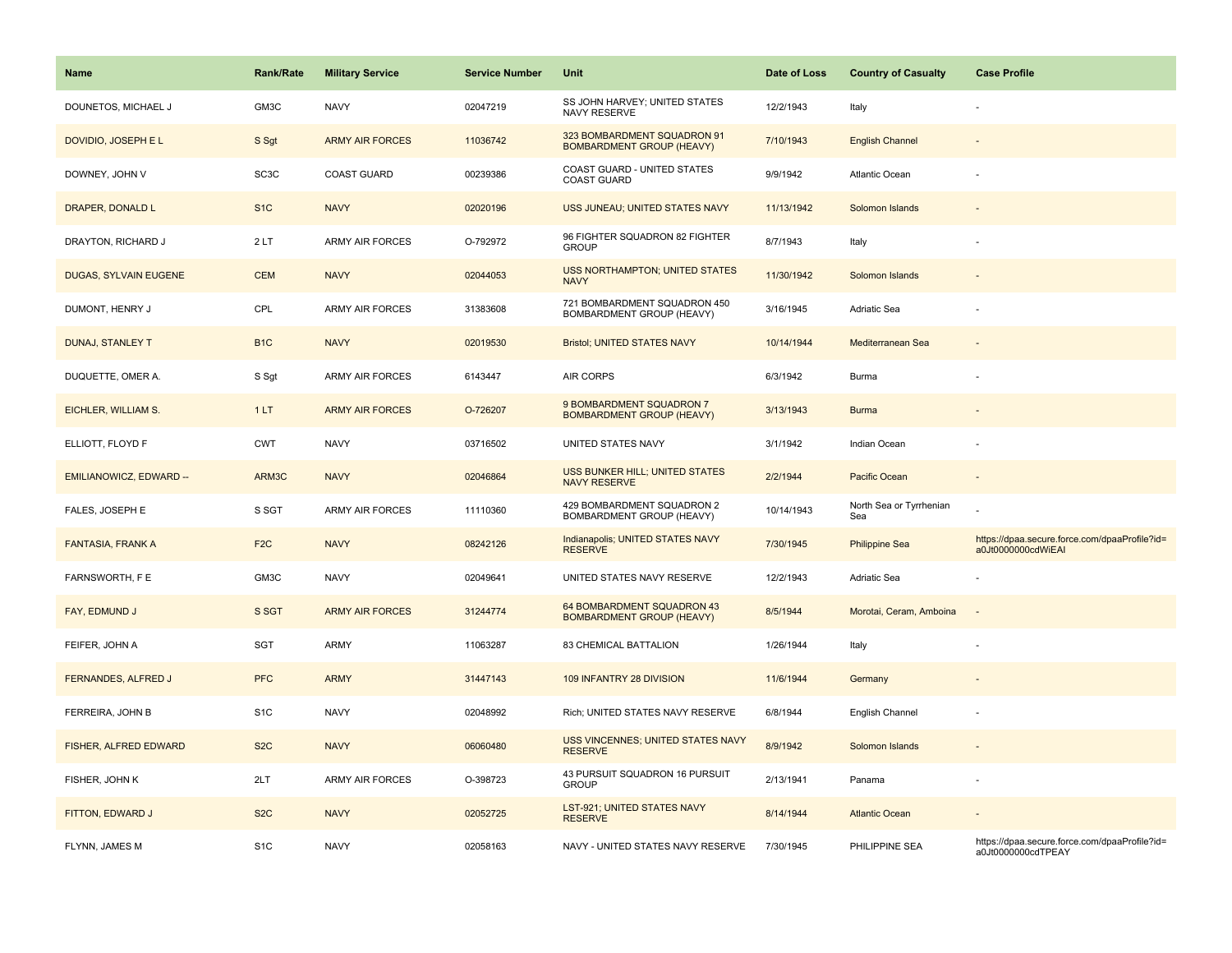| Name                     | <b>Rank/Rate</b>  | <b>Military Service</b> | <b>Service Number</b> | Unit                                                            | Date of Loss | <b>Country of Casualty</b>     | <b>Case Profile</b>                                                 |
|--------------------------|-------------------|-------------------------|-----------------------|-----------------------------------------------------------------|--------------|--------------------------------|---------------------------------------------------------------------|
| DOUNETOS, MICHAEL J      | GM3C              | <b>NAVY</b>             | 02047219              | SS JOHN HARVEY; UNITED STATES<br>NAVY RESERVE                   | 12/2/1943    | Italy                          |                                                                     |
| DOVIDIO, JOSEPH E L      | S Sgt             | <b>ARMY AIR FORCES</b>  | 11036742              | 323 BOMBARDMENT SQUADRON 91<br><b>BOMBARDMENT GROUP (HEAVY)</b> | 7/10/1943    | <b>English Channel</b>         |                                                                     |
| DOWNEY, JOHN V           | SC <sub>3</sub> C | <b>COAST GUARD</b>      | 00239386              | COAST GUARD - UNITED STATES<br><b>COAST GUARD</b>               | 9/9/1942     | Atlantic Ocean                 |                                                                     |
| DRAPER, DONALD L         | S <sub>1C</sub>   | <b>NAVY</b>             | 02020196              | USS JUNEAU; UNITED STATES NAVY                                  | 11/13/1942   | Solomon Islands                |                                                                     |
| DRAYTON, RICHARD J       | 2LT               | <b>ARMY AIR FORCES</b>  | O-792972              | 96 FIGHTER SQUADRON 82 FIGHTER<br><b>GROUP</b>                  | 8/7/1943     | Italy                          |                                                                     |
| DUGAS, SYLVAIN EUGENE    | <b>CEM</b>        | <b>NAVY</b>             | 02044053              | <b>USS NORTHAMPTON; UNITED STATES</b><br><b>NAVY</b>            | 11/30/1942   | Solomon Islands                |                                                                     |
| DUMONT, HENRY J          | CPL               | ARMY AIR FORCES         | 31383608              | 721 BOMBARDMENT SQUADRON 450<br>BOMBARDMENT GROUP (HEAVY)       | 3/16/1945    | Adriatic Sea                   |                                                                     |
| <b>DUNAJ, STANLEY T</b>  | B <sub>1C</sub>   | <b>NAVY</b>             | 02019530              | <b>Bristol; UNITED STATES NAVY</b>                              | 10/14/1944   | Mediterranean Sea              |                                                                     |
| DUQUETTE, OMER A.        | S Sgt             | <b>ARMY AIR FORCES</b>  | 6143447               | AIR CORPS                                                       | 6/3/1942     | Burma                          |                                                                     |
| EICHLER, WILLIAM S.      | 1LT               | <b>ARMY AIR FORCES</b>  | O-726207              | 9 BOMBARDMENT SQUADRON 7<br><b>BOMBARDMENT GROUP (HEAVY)</b>    | 3/13/1943    | <b>Burma</b>                   |                                                                     |
| ELLIOTT, FLOYD F         | <b>CWT</b>        | <b>NAVY</b>             | 03716502              | UNITED STATES NAVY                                              | 3/1/1942     | Indian Ocean                   |                                                                     |
| EMILIANOWICZ, EDWARD --  | ARM3C             | <b>NAVY</b>             | 02046864              | <b>USS BUNKER HILL; UNITED STATES</b><br><b>NAVY RESERVE</b>    | 2/2/1944     | <b>Pacific Ocean</b>           | $\overline{\phantom{a}}$                                            |
| FALES, JOSEPH E          | S SGT             | <b>ARMY AIR FORCES</b>  | 11110360              | 429 BOMBARDMENT SQUADRON 2<br>BOMBARDMENT GROUP (HEAVY)         | 10/14/1943   | North Sea or Tyrrhenian<br>Sea |                                                                     |
| <b>FANTASIA, FRANK A</b> | F <sub>2</sub> C  | <b>NAVY</b>             | 08242126              | Indianapolis; UNITED STATES NAVY<br><b>RESERVE</b>              | 7/30/1945    | <b>Philippine Sea</b>          | https://dpaa.secure.force.com/dpaaProfile?id=<br>a0Jt0000000cdWiEAI |
| FARNSWORTH, F E          | GM3C              | <b>NAVY</b>             | 02049641              | UNITED STATES NAVY RESERVE                                      | 12/2/1943    | Adriatic Sea                   |                                                                     |
| FAY, EDMUND J            | S SGT             | <b>ARMY AIR FORCES</b>  | 31244774              | 64 BOMBARDMENT SQUADRON 43<br><b>BOMBARDMENT GROUP (HEAVY)</b>  | 8/5/1944     | Morotai, Ceram, Amboina        | $\overline{\phantom{a}}$                                            |
| FEIFER, JOHN A           | SGT               | <b>ARMY</b>             | 11063287              | 83 CHEMICAL BATTALION                                           | 1/26/1944    | Italy                          |                                                                     |
| FERNANDES, ALFRED J      | <b>PFC</b>        | <b>ARMY</b>             | 31447143              | 109 INFANTRY 28 DIVISION                                        | 11/6/1944    | Germany                        |                                                                     |
| FERREIRA, JOHN B         | S <sub>1</sub> C  | <b>NAVY</b>             | 02048992              | Rich; UNITED STATES NAVY RESERVE                                | 6/8/1944     | English Channel                |                                                                     |
| FISHER, ALFRED EDWARD    | S <sub>2</sub> C  | <b>NAVY</b>             | 06060480              | USS VINCENNES; UNITED STATES NAVY<br><b>RESERVE</b>             | 8/9/1942     | Solomon Islands                |                                                                     |
| FISHER, JOHN K           | 2LT               | <b>ARMY AIR FORCES</b>  | O-398723              | 43 PURSUIT SQUADRON 16 PURSUIT<br><b>GROUP</b>                  | 2/13/1941    | Panama                         | ÷.                                                                  |
| FITTON, EDWARD J         | S <sub>2</sub> C  | <b>NAVY</b>             | 02052725              | LST-921; UNITED STATES NAVY<br><b>RESERVE</b>                   | 8/14/1944    | <b>Atlantic Ocean</b>          |                                                                     |
| FLYNN, JAMES M           | S <sub>1</sub> C  | <b>NAVY</b>             | 02058163              | NAVY - UNITED STATES NAVY RESERVE                               | 7/30/1945    | PHILIPPINE SEA                 | https://dpaa.secure.force.com/dpaaProfile?id=<br>a0Jt0000000cdTPEAY |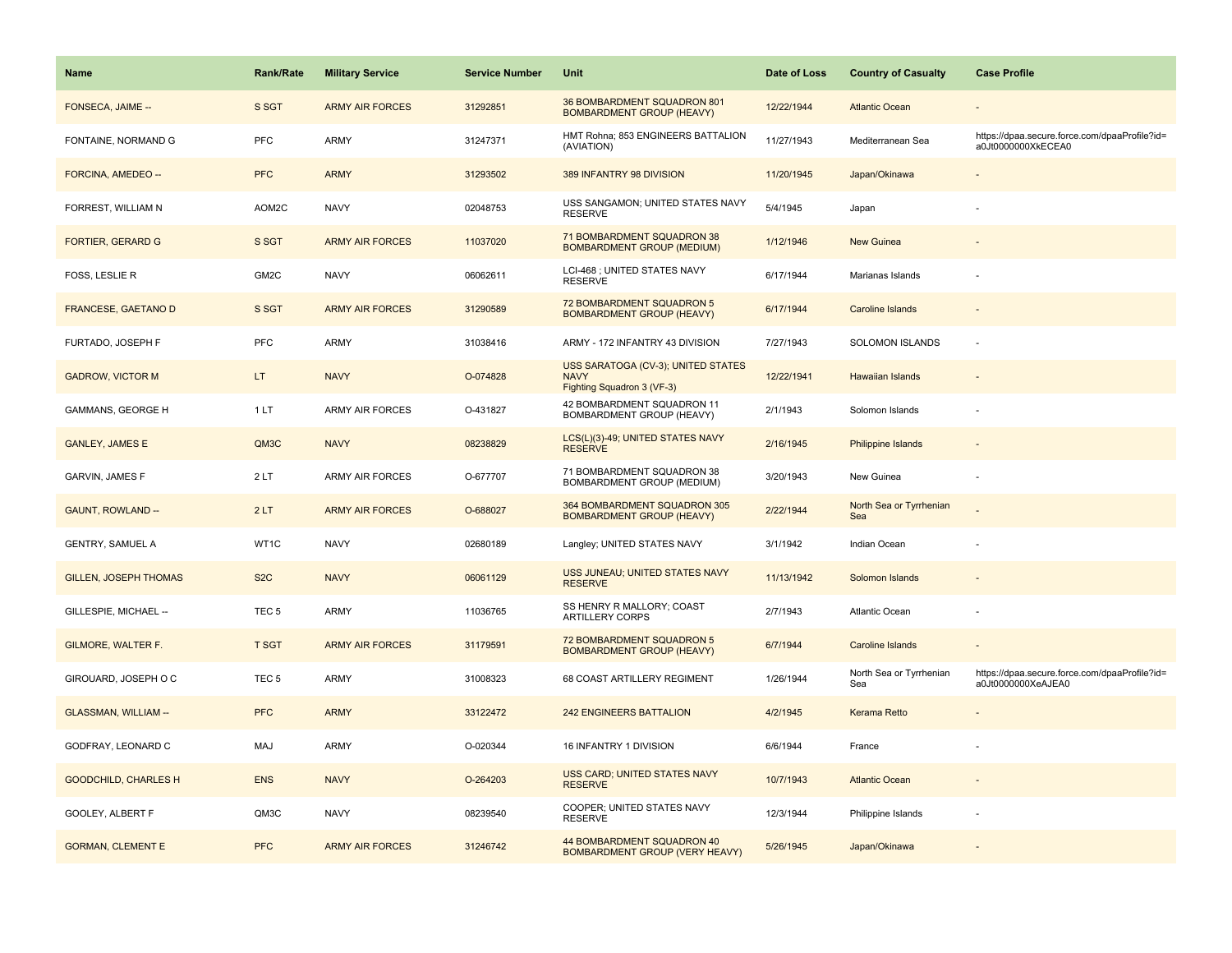| Name                         | <b>Rank/Rate</b> | <b>Military Service</b> | <b>Service Number</b> | Unit                                                                            | Date of Loss | <b>Country of Casualty</b>     | <b>Case Profile</b>                                                 |
|------------------------------|------------------|-------------------------|-----------------------|---------------------------------------------------------------------------------|--------------|--------------------------------|---------------------------------------------------------------------|
| FONSECA, JAIME --            | S SGT            | <b>ARMY AIR FORCES</b>  | 31292851              | 36 BOMBARDMENT SQUADRON 801<br><b>BOMBARDMENT GROUP (HEAVY)</b>                 | 12/22/1944   | <b>Atlantic Ocean</b>          |                                                                     |
| FONTAINE, NORMAND G          | PFC              | ARMY                    | 31247371              | HMT Rohna; 853 ENGINEERS BATTALION<br>(AVIATION)                                | 11/27/1943   | Mediterranean Sea              | https://dpaa.secure.force.com/dpaaProfile?id=<br>a0Jt0000000XkECEA0 |
| FORCINA, AMEDEO --           | <b>PFC</b>       | <b>ARMY</b>             | 31293502              | 389 INFANTRY 98 DIVISION                                                        | 11/20/1945   | Japan/Okinawa                  |                                                                     |
| FORREST, WILLIAM N           | AOM2C            | <b>NAVY</b>             | 02048753              | USS SANGAMON; UNITED STATES NAVY<br><b>RESERVE</b>                              | 5/4/1945     | Japan                          |                                                                     |
| <b>FORTIER, GERARD G</b>     | S SGT            | <b>ARMY AIR FORCES</b>  | 11037020              | 71 BOMBARDMENT SQUADRON 38<br><b>BOMBARDMENT GROUP (MEDIUM)</b>                 | 1/12/1946    | <b>New Guinea</b>              |                                                                     |
| FOSS, LESLIE R               | GM2C             | <b>NAVY</b>             | 06062611              | LCI-468 ; UNITED STATES NAVY<br><b>RESERVE</b>                                  | 6/17/1944    | Marianas Islands               |                                                                     |
| FRANCESE, GAETANO D          | S SGT            | <b>ARMY AIR FORCES</b>  | 31290589              | 72 BOMBARDMENT SQUADRON 5<br><b>BOMBARDMENT GROUP (HEAVY)</b>                   | 6/17/1944    | Caroline Islands               |                                                                     |
| FURTADO, JOSEPH F            | PFC              | <b>ARMY</b>             | 31038416              | ARMY - 172 INFANTRY 43 DIVISION                                                 | 7/27/1943    | <b>SOLOMON ISLANDS</b>         | $\sim$                                                              |
| <b>GADROW, VICTOR M</b>      | LT.              | <b>NAVY</b>             | O-074828              | USS SARATOGA (CV-3); UNITED STATES<br><b>NAVY</b><br>Fighting Squadron 3 (VF-3) | 12/22/1941   | <b>Hawaiian Islands</b>        |                                                                     |
| <b>GAMMANS, GEORGE H</b>     | 1LT              | <b>ARMY AIR FORCES</b>  | O-431827              | 42 BOMBARDMENT SQUADRON 11<br>BOMBARDMENT GROUP (HEAVY)                         | 2/1/1943     | Solomon Islands                |                                                                     |
| <b>GANLEY, JAMES E</b>       | QM3C             | <b>NAVY</b>             | 08238829              | LCS(L)(3)-49; UNITED STATES NAVY<br><b>RESERVE</b>                              | 2/16/1945    | Philippine Islands             |                                                                     |
| GARVIN, JAMES F              | 2LT              | ARMY AIR FORCES         | O-677707              | 71 BOMBARDMENT SQUADRON 38<br>BOMBARDMENT GROUP (MEDIUM)                        | 3/20/1943    | New Guinea                     |                                                                     |
| <b>GAUNT, ROWLAND --</b>     | 2LT              | <b>ARMY AIR FORCES</b>  | O-688027              | 364 BOMBARDMENT SQUADRON 305<br><b>BOMBARDMENT GROUP (HEAVY)</b>                | 2/22/1944    | North Sea or Tyrrhenian<br>Sea |                                                                     |
| <b>GENTRY, SAMUEL A</b>      | WT1C             | <b>NAVY</b>             | 02680189              | Langley; UNITED STATES NAVY                                                     | 3/1/1942     | Indian Ocean                   |                                                                     |
| <b>GILLEN, JOSEPH THOMAS</b> | S <sub>2</sub> C | <b>NAVY</b>             | 06061129              | USS JUNEAU; UNITED STATES NAVY<br><b>RESERVE</b>                                | 11/13/1942   | Solomon Islands                |                                                                     |
| GILLESPIE, MICHAEL --        | TEC <sub>5</sub> | ARMY                    | 11036765              | SS HENRY R MALLORY; COAST<br>ARTILLERY CORPS                                    | 2/7/1943     | Atlantic Ocean                 |                                                                     |
| GILMORE, WALTER F.           | <b>T SGT</b>     | <b>ARMY AIR FORCES</b>  | 31179591              | 72 BOMBARDMENT SQUADRON 5<br><b>BOMBARDMENT GROUP (HEAVY)</b>                   | 6/7/1944     | <b>Caroline Islands</b>        |                                                                     |
| GIROUARD, JOSEPH O C         | TEC <sub>5</sub> | ARMY                    | 31008323              | 68 COAST ARTILLERY REGIMENT                                                     | 1/26/1944    | North Sea or Tyrrhenian<br>Sea | https://dpaa.secure.force.com/dpaaProfile?id=<br>a0Jt0000000XeAJEA0 |
| GLASSMAN, WILLIAM --         | <b>PFC</b>       | <b>ARMY</b>             | 33122472              | <b>242 ENGINEERS BATTALION</b>                                                  | 4/2/1945     | <b>Kerama Retto</b>            |                                                                     |
| GODFRAY, LEONARD C           | MAJ              | ARMY                    | O-020344              | 16 INFANTRY 1 DIVISION                                                          | 6/6/1944     | France                         |                                                                     |
| <b>GOODCHILD, CHARLES H</b>  | <b>ENS</b>       | <b>NAVY</b>             | O-264203              | USS CARD; UNITED STATES NAVY<br><b>RESERVE</b>                                  | 10/7/1943    | <b>Atlantic Ocean</b>          |                                                                     |
| GOOLEY, ALBERT F             | QM3C             | <b>NAVY</b>             | 08239540              | COOPER; UNITED STATES NAVY<br><b>RESERVE</b>                                    | 12/3/1944    | Philippine Islands             |                                                                     |
| <b>GORMAN, CLEMENT E</b>     | <b>PFC</b>       | <b>ARMY AIR FORCES</b>  | 31246742              | 44 BOMBARDMENT SQUADRON 40<br><b>BOMBARDMENT GROUP (VERY HEAVY)</b>             | 5/26/1945    | Japan/Okinawa                  |                                                                     |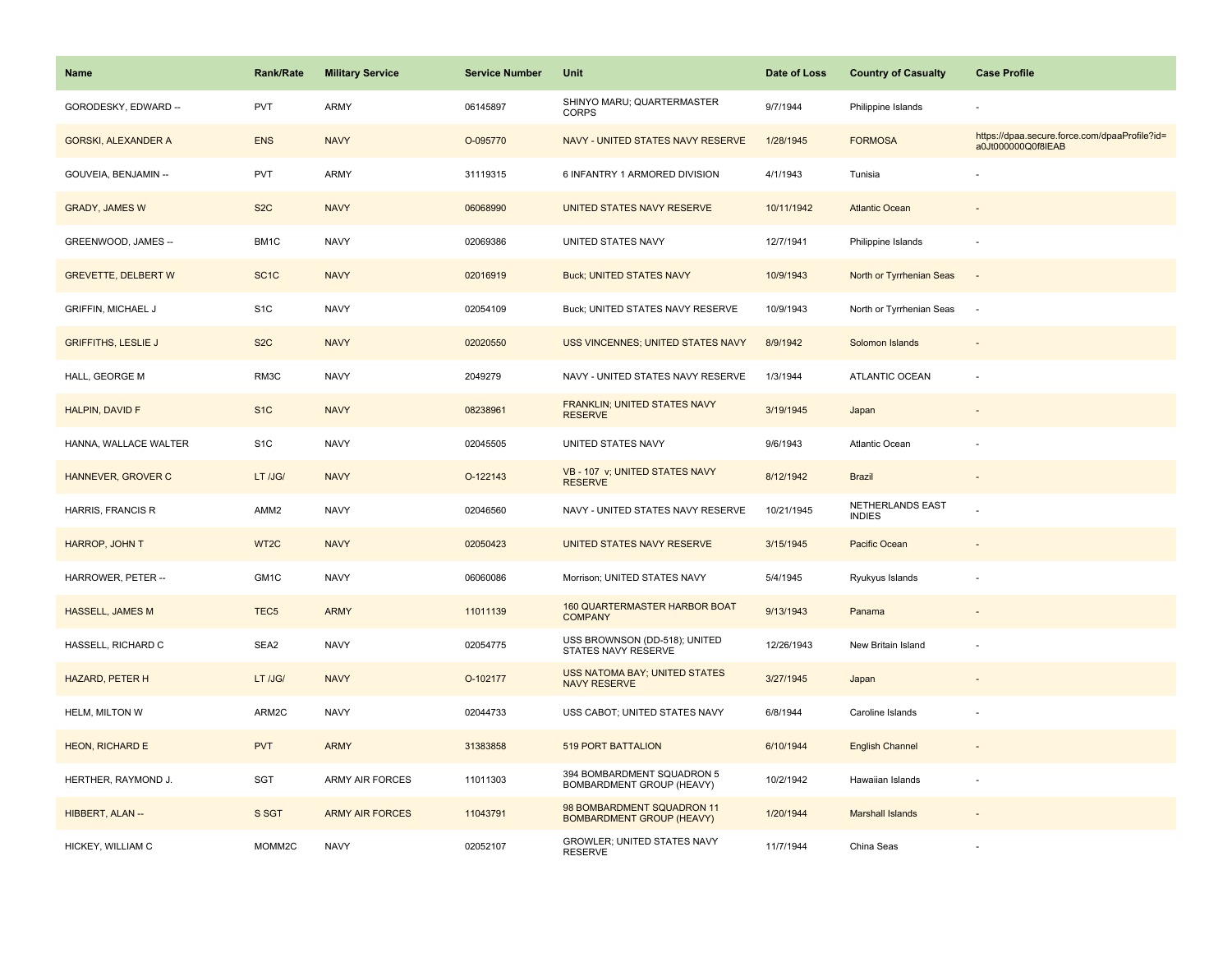| Name                       | Rank/Rate         | <b>Military Service</b> | <b>Service Number</b> | Unit                                                           | Date of Loss | <b>Country of Casualty</b>        | <b>Case Profile</b>                                                 |
|----------------------------|-------------------|-------------------------|-----------------------|----------------------------------------------------------------|--------------|-----------------------------------|---------------------------------------------------------------------|
| GORODESKY, EDWARD --       | <b>PVT</b>        | ARMY                    | 06145897              | SHINYO MARU; QUARTERMASTER<br><b>CORPS</b>                     | 9/7/1944     | Philippine Islands                |                                                                     |
| <b>GORSKI, ALEXANDER A</b> | <b>ENS</b>        | <b>NAVY</b>             | O-095770              | NAVY - UNITED STATES NAVY RESERVE                              | 1/28/1945    | <b>FORMOSA</b>                    | https://dpaa.secure.force.com/dpaaProfile?id=<br>a0Jt000000Q0f8IEAB |
| GOUVEIA, BENJAMIN --       | <b>PVT</b>        | ARMY                    | 31119315              | 6 INFANTRY 1 ARMORED DIVISION                                  | 4/1/1943     | Tunisia                           |                                                                     |
| <b>GRADY, JAMES W</b>      | S <sub>2</sub> C  | <b>NAVY</b>             | 06068990              | UNITED STATES NAVY RESERVE                                     | 10/11/1942   | <b>Atlantic Ocean</b>             |                                                                     |
| GREENWOOD, JAMES --        | BM1C              | <b>NAVY</b>             | 02069386              | UNITED STATES NAVY                                             | 12/7/1941    | Philippine Islands                |                                                                     |
| <b>GREVETTE, DELBERT W</b> | SC <sub>1</sub> C | <b>NAVY</b>             | 02016919              | <b>Buck; UNITED STATES NAVY</b>                                | 10/9/1943    | North or Tyrrhenian Seas          | $\overline{\phantom{a}}$                                            |
| <b>GRIFFIN, MICHAEL J</b>  | S <sub>1</sub> C  | <b>NAVY</b>             | 02054109              | Buck; UNITED STATES NAVY RESERVE                               | 10/9/1943    | North or Tyrrhenian Seas          | $\sim$                                                              |
| <b>GRIFFITHS, LESLIE J</b> | S <sub>2</sub> C  | <b>NAVY</b>             | 02020550              | USS VINCENNES; UNITED STATES NAVY                              | 8/9/1942     | Solomon Islands                   |                                                                     |
| HALL, GEORGE M             | RM3C              | <b>NAVY</b>             | 2049279               | NAVY - UNITED STATES NAVY RESERVE                              | 1/3/1944     | ATLANTIC OCEAN                    | ÷,                                                                  |
| HALPIN, DAVID F            | S <sub>1</sub> C  | <b>NAVY</b>             | 08238961              | FRANKLIN; UNITED STATES NAVY<br><b>RESERVE</b>                 | 3/19/1945    | Japan                             |                                                                     |
| HANNA, WALLACE WALTER      | S <sub>1</sub> C  | <b>NAVY</b>             | 02045505              | UNITED STATES NAVY                                             | 9/6/1943     | Atlantic Ocean                    |                                                                     |
| HANNEVER, GROVER C         | LT /JG/           | <b>NAVY</b>             | O-122143              | VB - 107 v; UNITED STATES NAVY<br><b>RESERVE</b>               | 8/12/1942    | <b>Brazil</b>                     | $\sim$                                                              |
| HARRIS, FRANCIS R          | AMM <sub>2</sub>  | <b>NAVY</b>             | 02046560              | NAVY - UNITED STATES NAVY RESERVE                              | 10/21/1945   | NETHERLANDS EAST<br><b>INDIES</b> |                                                                     |
| HARROP, JOHN T             | WT2C              | <b>NAVY</b>             | 02050423              | UNITED STATES NAVY RESERVE                                     | 3/15/1945    | Pacific Ocean                     |                                                                     |
| HARROWER, PETER --         | GM1C              | <b>NAVY</b>             | 06060086              | Morrison; UNITED STATES NAVY                                   | 5/4/1945     | Ryukyus Islands                   | ÷,                                                                  |
| <b>HASSELL, JAMES M</b>    | TEC <sub>5</sub>  | <b>ARMY</b>             | 11011139              | 160 QUARTERMASTER HARBOR BOAT<br><b>COMPANY</b>                | 9/13/1943    | Panama                            |                                                                     |
| HASSELL, RICHARD C         | SEA2              | <b>NAVY</b>             | 02054775              | USS BROWNSON (DD-518); UNITED<br>STATES NAVY RESERVE           | 12/26/1943   | New Britain Island                |                                                                     |
| <b>HAZARD, PETER H</b>     | LT /JG/           | <b>NAVY</b>             | O-102177              | <b>USS NATOMA BAY; UNITED STATES</b><br><b>NAVY RESERVE</b>    | 3/27/1945    | Japan                             |                                                                     |
| HELM, MILTON W             | ARM2C             | <b>NAVY</b>             | 02044733              | USS CABOT; UNITED STATES NAVY                                  | 6/8/1944     | Caroline Islands                  |                                                                     |
| <b>HEON, RICHARD E</b>     | <b>PVT</b>        | <b>ARMY</b>             | 31383858              | <b>519 PORT BATTALION</b>                                      | 6/10/1944    | <b>English Channel</b>            | $\blacksquare$                                                      |
| HERTHER, RAYMOND J.        | SGT               | <b>ARMY AIR FORCES</b>  | 11011303              | 394 BOMBARDMENT SQUADRON 5<br>BOMBARDMENT GROUP (HEAVY)        | 10/2/1942    | Hawaiian Islands                  | ÷,                                                                  |
| HIBBERT, ALAN --           | S SGT             | <b>ARMY AIR FORCES</b>  | 11043791              | 98 BOMBARDMENT SQUADRON 11<br><b>BOMBARDMENT GROUP (HEAVY)</b> | 1/20/1944    | <b>Marshall Islands</b>           |                                                                     |
| HICKEY, WILLIAM C          | MOMM2C            | <b>NAVY</b>             | 02052107              | GROWLER; UNITED STATES NAVY<br><b>RESERVE</b>                  | 11/7/1944    | China Seas                        |                                                                     |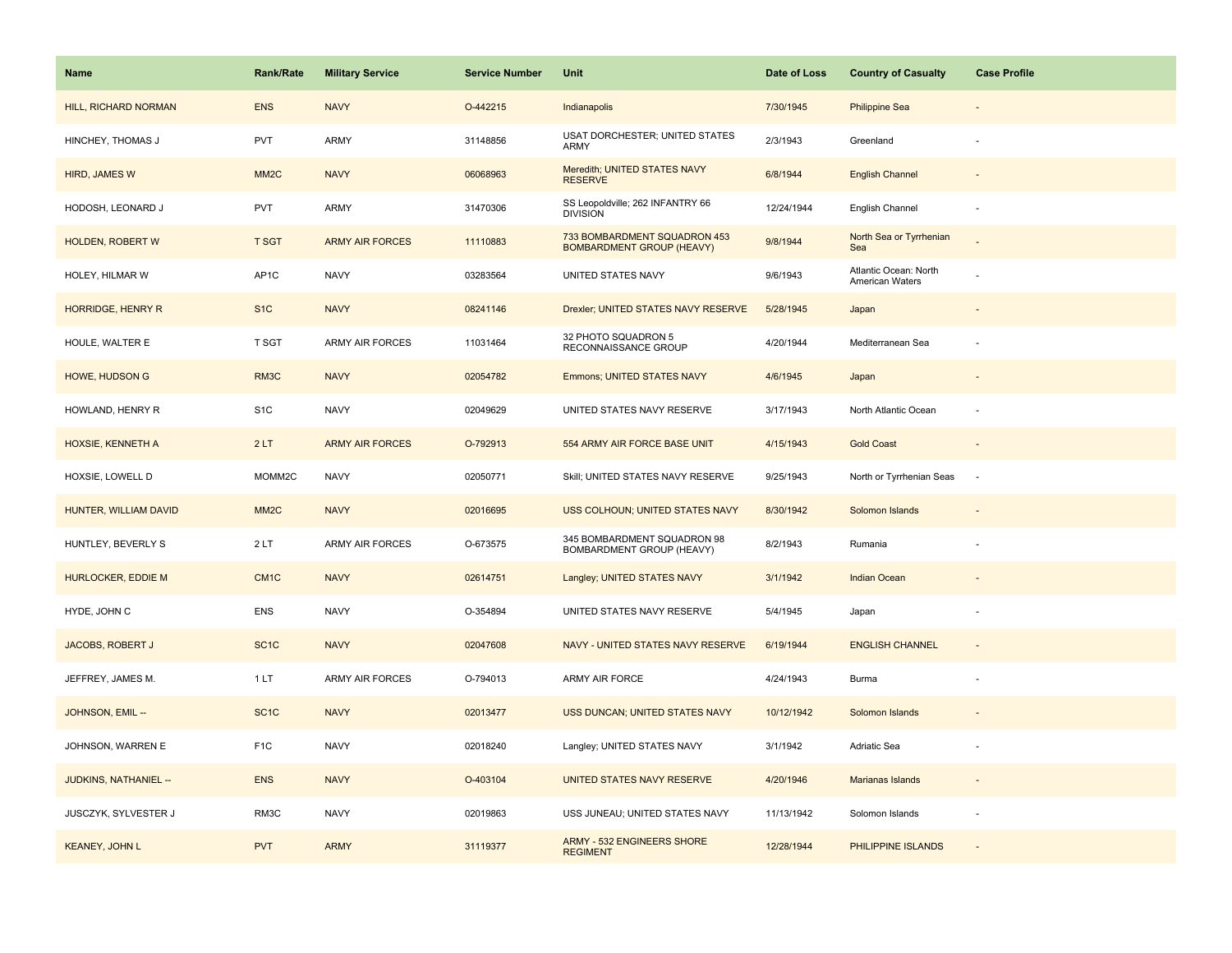| Name                      | <b>Rank/Rate</b>  | <b>Military Service</b> | <b>Service Number</b> | Unit                                                             | Date of Loss | <b>Country of Casualty</b>               | <b>Case Profile</b>      |
|---------------------------|-------------------|-------------------------|-----------------------|------------------------------------------------------------------|--------------|------------------------------------------|--------------------------|
| HILL, RICHARD NORMAN      | <b>ENS</b>        | <b>NAVY</b>             | O-442215              | Indianapolis                                                     | 7/30/1945    | <b>Philippine Sea</b>                    |                          |
| HINCHEY, THOMAS J         | PVT               | ARMY                    | 31148856              | USAT DORCHESTER; UNITED STATES<br>ARMY                           | 2/3/1943     | Greenland                                |                          |
| HIRD, JAMES W             | MM <sub>2</sub> C | <b>NAVY</b>             | 06068963              | Meredith; UNITED STATES NAVY<br><b>RESERVE</b>                   | 6/8/1944     | <b>English Channel</b>                   |                          |
| HODOSH, LEONARD J         | <b>PVT</b>        | <b>ARMY</b>             | 31470306              | SS Leopoldville; 262 INFANTRY 66<br><b>DIVISION</b>              | 12/24/1944   | English Channel                          |                          |
| <b>HOLDEN, ROBERT W</b>   | <b>T SGT</b>      | <b>ARMY AIR FORCES</b>  | 11110883              | 733 BOMBARDMENT SQUADRON 453<br><b>BOMBARDMENT GROUP (HEAVY)</b> | 9/8/1944     | North Sea or Tyrrhenian<br>Sea           |                          |
| HOLEY, HILMAR W           | AP <sub>1</sub> C | <b>NAVY</b>             | 03283564              | UNITED STATES NAVY                                               | 9/6/1943     | Atlantic Ocean: North<br>American Waters |                          |
| HORRIDGE, HENRY R         | S <sub>1</sub> C  | <b>NAVY</b>             | 08241146              | Drexler; UNITED STATES NAVY RESERVE                              | 5/28/1945    | Japan                                    | $\overline{\phantom{a}}$ |
| HOULE, WALTER E           | T SGT             | <b>ARMY AIR FORCES</b>  | 11031464              | 32 PHOTO SQUADRON 5<br>RECONNAISSANCE GROUP                      | 4/20/1944    | Mediterranean Sea                        |                          |
| <b>HOWE, HUDSON G</b>     | RM3C              | <b>NAVY</b>             | 02054782              | Emmons; UNITED STATES NAVY                                       | 4/6/1945     | Japan                                    |                          |
| HOWLAND, HENRY R          | S <sub>1</sub> C  | <b>NAVY</b>             | 02049629              | UNITED STATES NAVY RESERVE                                       | 3/17/1943    | North Atlantic Ocean                     | ÷.                       |
| HOXSIE, KENNETH A         | 2LT               | <b>ARMY AIR FORCES</b>  | O-792913              | 554 ARMY AIR FORCE BASE UNIT                                     | 4/15/1943    | <b>Gold Coast</b>                        |                          |
| HOXSIE, LOWELL D          | MOMM2C            | <b>NAVY</b>             | 02050771              | Skill; UNITED STATES NAVY RESERVE                                | 9/25/1943    | North or Tyrrhenian Seas                 | $\overline{\phantom{a}}$ |
| HUNTER, WILLIAM DAVID     | MM <sub>2</sub> C | <b>NAVY</b>             | 02016695              | USS COLHOUN; UNITED STATES NAVY                                  | 8/30/1942    | Solomon Islands                          |                          |
| HUNTLEY, BEVERLY S        | 2LT               | <b>ARMY AIR FORCES</b>  | O-673575              | 345 BOMBARDMENT SQUADRON 98<br>BOMBARDMENT GROUP (HEAVY)         | 8/2/1943     | Rumania                                  |                          |
| <b>HURLOCKER, EDDIE M</b> | CM <sub>1C</sub>  | <b>NAVY</b>             | 02614751              | Langley; UNITED STATES NAVY                                      | 3/1/1942     | <b>Indian Ocean</b>                      |                          |
| HYDE, JOHN C              | <b>ENS</b>        | <b>NAVY</b>             | O-354894              | UNITED STATES NAVY RESERVE                                       | 5/4/1945     | Japan                                    |                          |
| JACOBS, ROBERT J          | SC <sub>1</sub> C | <b>NAVY</b>             | 02047608              | NAVY - UNITED STATES NAVY RESERVE                                | 6/19/1944    | <b>ENGLISH CHANNEL</b>                   | $\sim$                   |
| JEFFREY, JAMES M.         | 1LT               | ARMY AIR FORCES         | O-794013              | ARMY AIR FORCE                                                   | 4/24/1943    | <b>Burma</b>                             |                          |
| JOHNSON, EMIL --          | SC <sub>1</sub> C | <b>NAVY</b>             | 02013477              | USS DUNCAN; UNITED STATES NAVY                                   | 10/12/1942   | Solomon Islands                          |                          |
| JOHNSON, WARREN E         | F <sub>1</sub> C  | <b>NAVY</b>             | 02018240              | Langley; UNITED STATES NAVY                                      | 3/1/1942     | Adriatic Sea                             |                          |
| JUDKINS, NATHANIEL --     | <b>ENS</b>        | <b>NAVY</b>             | O-403104              | UNITED STATES NAVY RESERVE                                       | 4/20/1946    | Marianas Islands                         | $\sim$                   |
| JUSCZYK, SYLVESTER J      | RM3C              | <b>NAVY</b>             | 02019863              | USS JUNEAU; UNITED STATES NAVY                                   | 11/13/1942   | Solomon Islands                          |                          |
| <b>KEANEY, JOHN L</b>     | <b>PVT</b>        | <b>ARMY</b>             | 31119377              | <b>ARMY - 532 ENGINEERS SHORE</b><br><b>REGIMENT</b>             | 12/28/1944   | PHILIPPINE ISLANDS                       |                          |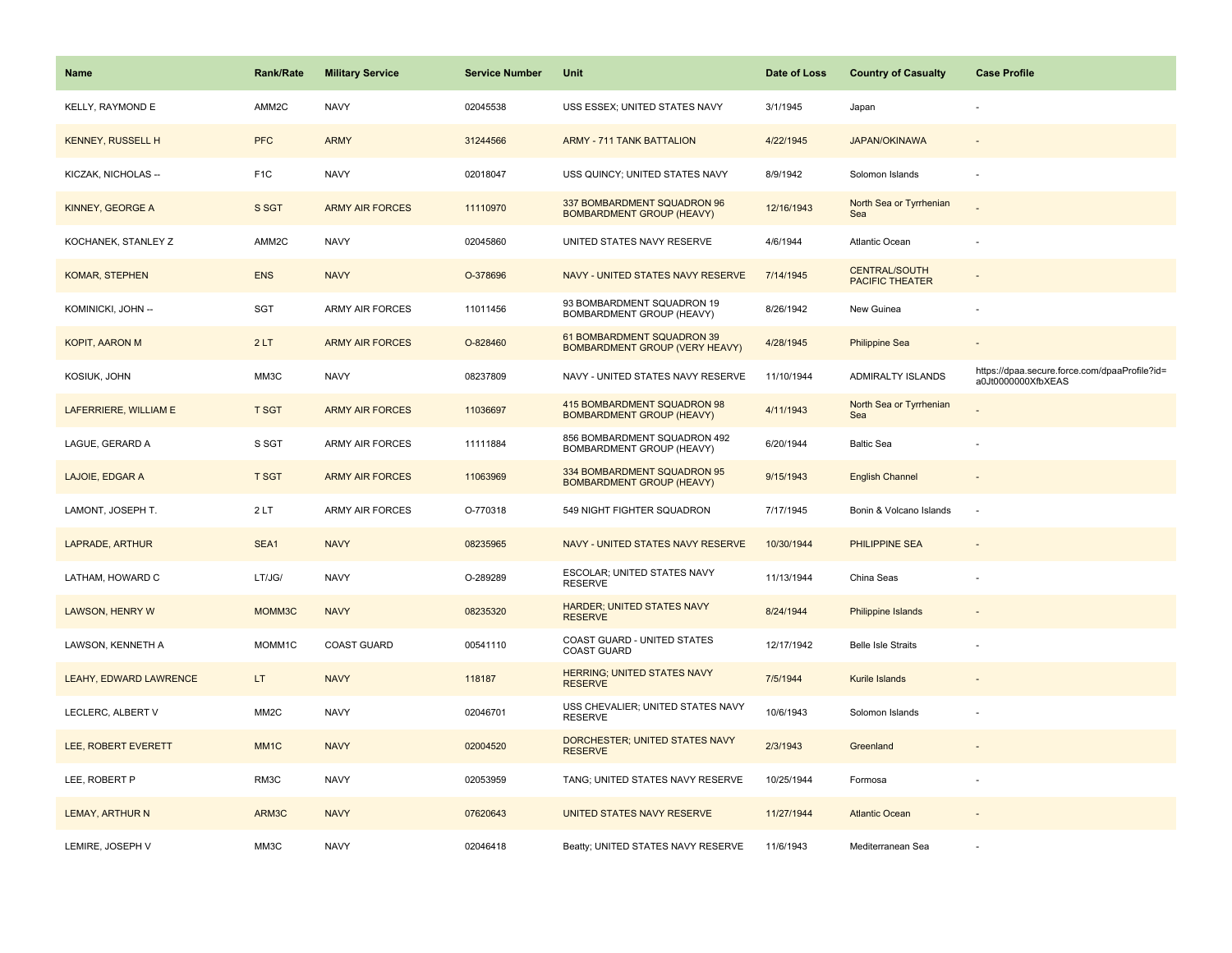| <b>Name</b>              | <b>Rank/Rate</b>  | <b>Military Service</b> | <b>Service Number</b> | Unit                                                                | Date of Loss | <b>Country of Casualty</b>                     | <b>Case Profile</b>                                                 |
|--------------------------|-------------------|-------------------------|-----------------------|---------------------------------------------------------------------|--------------|------------------------------------------------|---------------------------------------------------------------------|
| KELLY, RAYMOND E         | AMM2C             | <b>NAVY</b>             | 02045538              | USS ESSEX; UNITED STATES NAVY                                       | 3/1/1945     | Japan                                          |                                                                     |
| <b>KENNEY, RUSSELL H</b> | <b>PFC</b>        | <b>ARMY</b>             | 31244566              | <b>ARMY - 711 TANK BATTALION</b>                                    | 4/22/1945    | <b>JAPAN/OKINAWA</b>                           |                                                                     |
| KICZAK, NICHOLAS --      | F <sub>1</sub> C  | <b>NAVY</b>             | 02018047              | USS QUINCY; UNITED STATES NAVY                                      | 8/9/1942     | Solomon Islands                                | ÷,                                                                  |
| KINNEY, GEORGE A         | S SGT             | <b>ARMY AIR FORCES</b>  | 11110970              | 337 BOMBARDMENT SQUADRON 96<br><b>BOMBARDMENT GROUP (HEAVY)</b>     | 12/16/1943   | North Sea or Tyrrhenian<br>Sea                 |                                                                     |
| KOCHANEK, STANLEY Z      | AMM2C             | <b>NAVY</b>             | 02045860              | UNITED STATES NAVY RESERVE                                          | 4/6/1944     | Atlantic Ocean                                 |                                                                     |
| <b>KOMAR, STEPHEN</b>    | <b>ENS</b>        | <b>NAVY</b>             | O-378696              | NAVY - UNITED STATES NAVY RESERVE                                   | 7/14/1945    | <b>CENTRAL/SOUTH</b><br><b>PACIFIC THEATER</b> |                                                                     |
| KOMINICKI, JOHN --       | SGT               | <b>ARMY AIR FORCES</b>  | 11011456              | 93 BOMBARDMENT SQUADRON 19<br>BOMBARDMENT GROUP (HEAVY)             | 8/26/1942    | New Guinea                                     | ÷,                                                                  |
| <b>KOPIT, AARON M</b>    | 2LT               | <b>ARMY AIR FORCES</b>  | O-828460              | 61 BOMBARDMENT SQUADRON 39<br><b>BOMBARDMENT GROUP (VERY HEAVY)</b> | 4/28/1945    | <b>Philippine Sea</b>                          |                                                                     |
| KOSIUK, JOHN             | MM3C              | <b>NAVY</b>             | 08237809              | NAVY - UNITED STATES NAVY RESERVE                                   | 11/10/1944   | ADMIRALTY ISLANDS                              | https://dpaa.secure.force.com/dpaaProfile?id=<br>a0Jt0000000XfbXEAS |
| LAFERRIERE, WILLIAM E    | <b>T SGT</b>      | <b>ARMY AIR FORCES</b>  | 11036697              | 415 BOMBARDMENT SQUADRON 98<br><b>BOMBARDMENT GROUP (HEAVY)</b>     | 4/11/1943    | North Sea or Tyrrhenian<br>Sea                 |                                                                     |
| LAGUE, GERARD A          | S SGT             | ARMY AIR FORCES         | 11111884              | 856 BOMBARDMENT SQUADRON 492<br>BOMBARDMENT GROUP (HEAVY)           | 6/20/1944    | <b>Baltic Sea</b>                              |                                                                     |
| LAJOIE, EDGAR A          | <b>T SGT</b>      | <b>ARMY AIR FORCES</b>  | 11063969              | 334 BOMBARDMENT SQUADRON 95<br><b>BOMBARDMENT GROUP (HEAVY)</b>     | 9/15/1943    | <b>English Channel</b>                         | $\overline{\phantom{a}}$                                            |
| LAMONT, JOSEPH T.        | 2LT               | <b>ARMY AIR FORCES</b>  | O-770318              | 549 NIGHT FIGHTER SQUADRON                                          | 7/17/1945    | Bonin & Volcano Islands                        | ÷,                                                                  |
| LAPRADE, ARTHUR          | SEA1              | <b>NAVY</b>             | 08235965              | NAVY - UNITED STATES NAVY RESERVE                                   | 10/30/1944   | <b>PHILIPPINE SEA</b>                          |                                                                     |
| LATHAM, HOWARD C         | LT/JG/            | <b>NAVY</b>             | O-289289              | ESCOLAR; UNITED STATES NAVY<br><b>RESERVE</b>                       | 11/13/1944   | China Seas                                     |                                                                     |
| <b>LAWSON, HENRY W</b>   | MOMM3C            | <b>NAVY</b>             | 08235320              | HARDER; UNITED STATES NAVY<br><b>RESERVE</b>                        | 8/24/1944    | <b>Philippine Islands</b>                      |                                                                     |
| LAWSON, KENNETH A        | MOMM1C            | <b>COAST GUARD</b>      | 00541110              | COAST GUARD - UNITED STATES<br>COAST GUARD                          | 12/17/1942   | <b>Belle Isle Straits</b>                      |                                                                     |
| LEAHY, EDWARD LAWRENCE   | LT.               | <b>NAVY</b>             | 118187                | <b>HERRING; UNITED STATES NAVY</b><br><b>RESERVE</b>                | 7/5/1944     | Kurile Islands                                 |                                                                     |
| LECLERC, ALBERT V        | MM <sub>2</sub> C | <b>NAVY</b>             | 02046701              | USS CHEVALIER; UNITED STATES NAVY<br><b>RESERVE</b>                 | 10/6/1943    | Solomon Islands                                |                                                                     |
| LEE, ROBERT EVERETT      | MM <sub>1C</sub>  | <b>NAVY</b>             | 02004520              | DORCHESTER; UNITED STATES NAVY<br><b>RESERVE</b>                    | 2/3/1943     | Greenland                                      |                                                                     |
| LEE, ROBERT P            | RM3C              | <b>NAVY</b>             | 02053959              | TANG; UNITED STATES NAVY RESERVE                                    | 10/25/1944   | Formosa                                        | ÷,                                                                  |
| <b>LEMAY, ARTHUR N</b>   | ARM3C             | <b>NAVY</b>             | 07620643              | UNITED STATES NAVY RESERVE                                          | 11/27/1944   | <b>Atlantic Ocean</b>                          |                                                                     |
| LEMIRE, JOSEPH V         | MM3C              | <b>NAVY</b>             | 02046418              | Beatty; UNITED STATES NAVY RESERVE                                  | 11/6/1943    | Mediterranean Sea                              |                                                                     |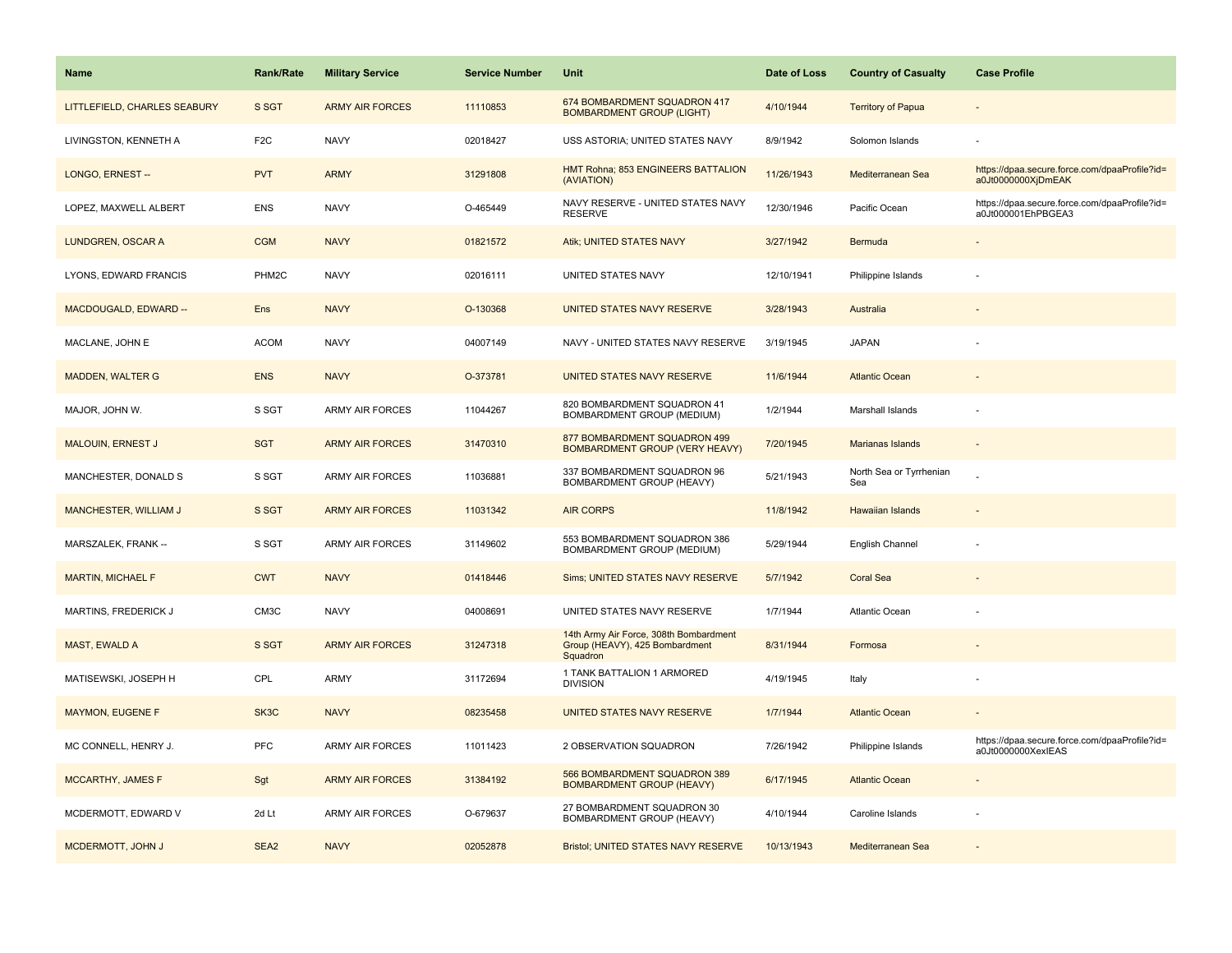| <b>Name</b>                  | <b>Rank/Rate</b> | <b>Military Service</b> | <b>Service Number</b> | <b>Unit</b>                                                                          | Date of Loss | <b>Country of Casualty</b>     | <b>Case Profile</b>                                                 |
|------------------------------|------------------|-------------------------|-----------------------|--------------------------------------------------------------------------------------|--------------|--------------------------------|---------------------------------------------------------------------|
| LITTLEFIELD, CHARLES SEABURY | S SGT            | <b>ARMY AIR FORCES</b>  | 11110853              | 674 BOMBARDMENT SQUADRON 417<br><b>BOMBARDMENT GROUP (LIGHT)</b>                     | 4/10/1944    | <b>Territory of Papua</b>      |                                                                     |
| LIVINGSTON, KENNETH A        | F <sub>2C</sub>  | <b>NAVY</b>             | 02018427              | USS ASTORIA; UNITED STATES NAVY                                                      | 8/9/1942     | Solomon Islands                |                                                                     |
| LONGO, ERNEST-               | <b>PVT</b>       | <b>ARMY</b>             | 31291808              | HMT Rohna; 853 ENGINEERS BATTALION<br>(AVIATION)                                     | 11/26/1943   | Mediterranean Sea              | https://dpaa.secure.force.com/dpaaProfile?id=<br>a0Jt0000000XjDmEAK |
| LOPEZ, MAXWELL ALBERT        | <b>ENS</b>       | <b>NAVY</b>             | O-465449              | NAVY RESERVE - UNITED STATES NAVY<br><b>RESERVE</b>                                  | 12/30/1946   | Pacific Ocean                  | https://dpaa.secure.force.com/dpaaProfile?id=<br>a0Jt000001EhPBGEA3 |
| LUNDGREN, OSCAR A            | <b>CGM</b>       | <b>NAVY</b>             | 01821572              | Atik; UNITED STATES NAVY                                                             | 3/27/1942    | Bermuda                        |                                                                     |
| LYONS, EDWARD FRANCIS        | PHM2C            | <b>NAVY</b>             | 02016111              | UNITED STATES NAVY                                                                   | 12/10/1941   | Philippine Islands             |                                                                     |
| MACDOUGALD, EDWARD --        | Ens              | <b>NAVY</b>             | O-130368              | UNITED STATES NAVY RESERVE                                                           | 3/28/1943    | Australia                      |                                                                     |
| MACLANE, JOHN E              | <b>ACOM</b>      | <b>NAVY</b>             | 04007149              | NAVY - UNITED STATES NAVY RESERVE                                                    | 3/19/1945    | <b>JAPAN</b>                   |                                                                     |
| <b>MADDEN, WALTER G</b>      | <b>ENS</b>       | <b>NAVY</b>             | O-373781              | UNITED STATES NAVY RESERVE                                                           | 11/6/1944    | <b>Atlantic Ocean</b>          |                                                                     |
| MAJOR, JOHN W.               | S SGT            | <b>ARMY AIR FORCES</b>  | 11044267              | 820 BOMBARDMENT SQUADRON 41<br>BOMBARDMENT GROUP (MEDIUM)                            | 1/2/1944     | Marshall Islands               |                                                                     |
| <b>MALOUIN, ERNEST J</b>     | <b>SGT</b>       | <b>ARMY AIR FORCES</b>  | 31470310              | 877 BOMBARDMENT SQUADRON 499<br><b>BOMBARDMENT GROUP (VERY HEAVY)</b>                | 7/20/1945    | Marianas Islands               |                                                                     |
| MANCHESTER, DONALD S         | S SGT            | <b>ARMY AIR FORCES</b>  | 11036881              | 337 BOMBARDMENT SQUADRON 96<br>BOMBARDMENT GROUP (HEAVY)                             | 5/21/1943    | North Sea or Tyrrhenian<br>Sea |                                                                     |
| <b>MANCHESTER, WILLIAM J</b> | S SGT            | <b>ARMY AIR FORCES</b>  | 11031342              | <b>AIR CORPS</b>                                                                     | 11/8/1942    | <b>Hawaiian Islands</b>        |                                                                     |
| MARSZALEK, FRANK --          | S SGT            | ARMY AIR FORCES         | 31149602              | 553 BOMBARDMENT SQUADRON 386<br>BOMBARDMENT GROUP (MEDIUM)                           | 5/29/1944    | English Channel                |                                                                     |
| <b>MARTIN, MICHAEL F</b>     | <b>CWT</b>       | <b>NAVY</b>             | 01418446              | Sims; UNITED STATES NAVY RESERVE                                                     | 5/7/1942     | <b>Coral Sea</b>               |                                                                     |
| MARTINS, FREDERICK J         | CM3C             | <b>NAVY</b>             | 04008691              | UNITED STATES NAVY RESERVE                                                           | 1/7/1944     | Atlantic Ocean                 |                                                                     |
| MAST, EWALD A                | S SGT            | <b>ARMY AIR FORCES</b>  | 31247318              | 14th Army Air Force, 308th Bombardment<br>Group (HEAVY), 425 Bombardment<br>Squadron | 8/31/1944    | Formosa                        |                                                                     |
| MATISEWSKI, JOSEPH H         | CPL              | ARMY                    | 31172694              | 1 TANK BATTALION 1 ARMORED<br><b>DIVISION</b>                                        | 4/19/1945    | Italy                          |                                                                     |
| <b>MAYMON, EUGENE F</b>      | SK3C             | <b>NAVY</b>             | 08235458              | UNITED STATES NAVY RESERVE                                                           | 1/7/1944     | <b>Atlantic Ocean</b>          |                                                                     |
| MC CONNELL, HENRY J.         | PFC              | <b>ARMY AIR FORCES</b>  | 11011423              | 2 OBSERVATION SQUADRON                                                               | 7/26/1942    | Philippine Islands             | https://dpaa.secure.force.com/dpaaProfile?id=<br>a0Jt0000000XexIEAS |
| MCCARTHY, JAMES F            | Sgt              | <b>ARMY AIR FORCES</b>  | 31384192              | 566 BOMBARDMENT SQUADRON 389<br><b>BOMBARDMENT GROUP (HEAVY)</b>                     | 6/17/1945    | <b>Atlantic Ocean</b>          |                                                                     |
| MCDERMOTT, EDWARD V          | 2d Lt            | <b>ARMY AIR FORCES</b>  | O-679637              | 27 BOMBARDMENT SQUADRON 30<br>BOMBARDMENT GROUP (HEAVY)                              | 4/10/1944    | Caroline Islands               |                                                                     |
| MCDERMOTT, JOHN J            | SEA <sub>2</sub> | <b>NAVY</b>             | 02052878              | Bristol; UNITED STATES NAVY RESERVE                                                  | 10/13/1943   | Mediterranean Sea              |                                                                     |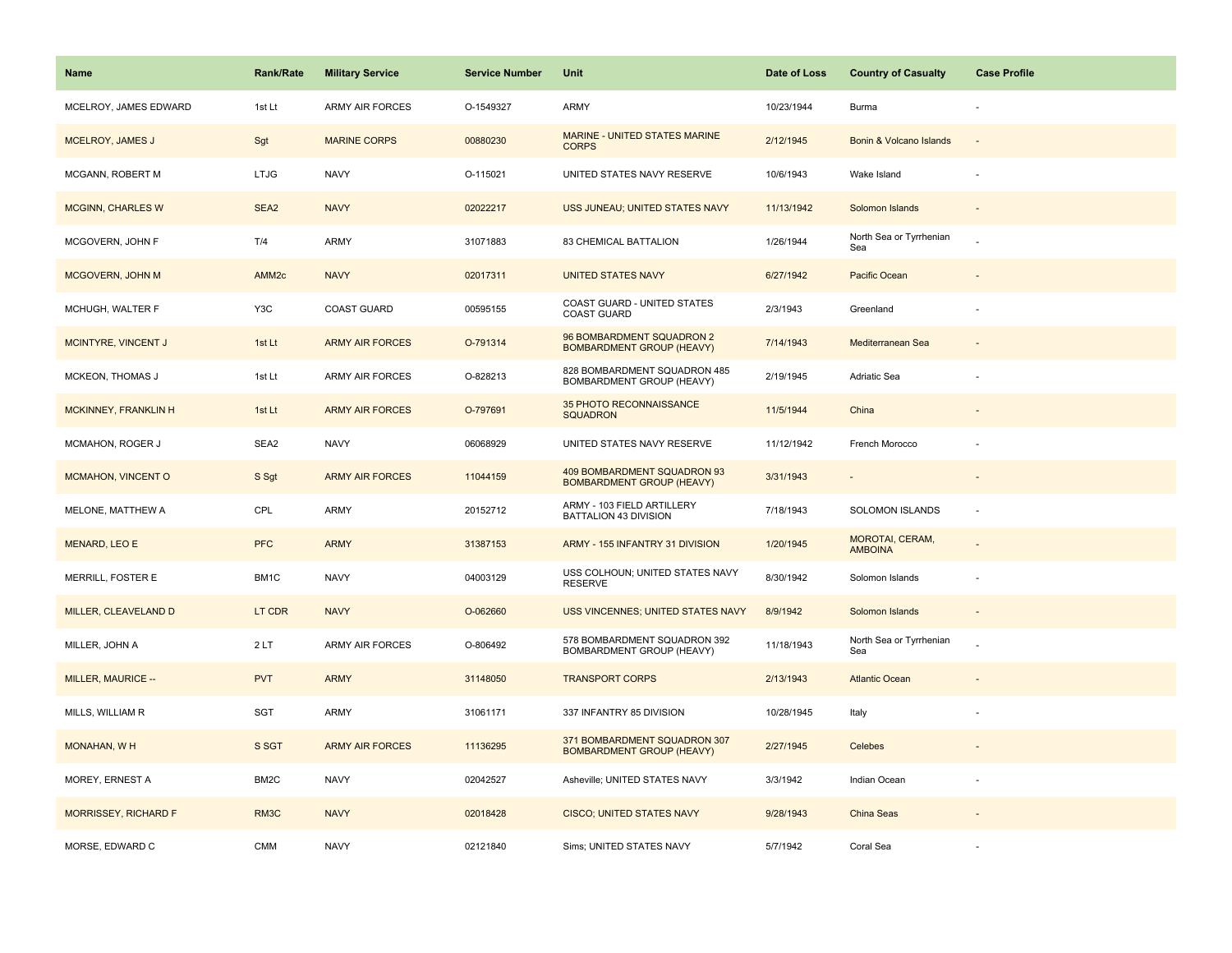| Name                     | <b>Rank/Rate</b>  | <b>Military Service</b> | <b>Service Number</b> | Unit                                                             | Date of Loss | <b>Country of Casualty</b>        | <b>Case Profile</b> |
|--------------------------|-------------------|-------------------------|-----------------------|------------------------------------------------------------------|--------------|-----------------------------------|---------------------|
| MCELROY, JAMES EDWARD    | 1st Lt            | <b>ARMY AIR FORCES</b>  | O-1549327             | <b>ARMY</b>                                                      | 10/23/1944   | Burma                             |                     |
| MCELROY, JAMES J         | Sgt               | <b>MARINE CORPS</b>     | 00880230              | MARINE - UNITED STATES MARINE<br><b>CORPS</b>                    | 2/12/1945    | Bonin & Volcano Islands           |                     |
| MCGANN, ROBERT M         | <b>LTJG</b>       | <b>NAVY</b>             | O-115021              | UNITED STATES NAVY RESERVE                                       | 10/6/1943    | Wake Island                       |                     |
| <b>MCGINN, CHARLES W</b> | SEA <sub>2</sub>  | <b>NAVY</b>             | 02022217              | USS JUNEAU; UNITED STATES NAVY                                   | 11/13/1942   | Solomon Islands                   |                     |
| MCGOVERN, JOHN F         | T/4               | ARMY                    | 31071883              | 83 CHEMICAL BATTALION                                            | 1/26/1944    | North Sea or Tyrrhenian<br>Sea    |                     |
| MCGOVERN, JOHN M         | AMM <sub>2c</sub> | <b>NAVY</b>             | 02017311              | <b>UNITED STATES NAVY</b>                                        | 6/27/1942    | Pacific Ocean                     |                     |
| MCHUGH, WALTER F         | Y3C               | <b>COAST GUARD</b>      | 00595155              | COAST GUARD - UNITED STATES<br>COAST GUARD                       | 2/3/1943     | Greenland                         |                     |
| MCINTYRE, VINCENT J      | 1st Lt            | <b>ARMY AIR FORCES</b>  | O-791314              | 96 BOMBARDMENT SQUADRON 2<br><b>BOMBARDMENT GROUP (HEAVY)</b>    | 7/14/1943    | Mediterranean Sea                 |                     |
| MCKEON, THOMAS J         | 1st Lt            | <b>ARMY AIR FORCES</b>  | O-828213              | 828 BOMBARDMENT SQUADRON 485<br>BOMBARDMENT GROUP (HEAVY)        | 2/19/1945    | Adriatic Sea                      |                     |
| MCKINNEY, FRANKLIN H     | 1st Lt            | <b>ARMY AIR FORCES</b>  | O-797691              | 35 PHOTO RECONNAISSANCE<br><b>SQUADRON</b>                       | 11/5/1944    | China                             |                     |
| MCMAHON, ROGER J         | SEA2              | <b>NAVY</b>             | 06068929              | UNITED STATES NAVY RESERVE                                       | 11/12/1942   | French Morocco                    |                     |
| MCMAHON, VINCENT O       | S Sgt             | <b>ARMY AIR FORCES</b>  | 11044159              | 409 BOMBARDMENT SQUADRON 93<br><b>BOMBARDMENT GROUP (HEAVY)</b>  | 3/31/1943    |                                   |                     |
| MELONE, MATTHEW A        | CPL               | ARMY                    | 20152712              | ARMY - 103 FIELD ARTILLERY<br>BATTALION 43 DIVISION              | 7/18/1943    | SOLOMON ISLANDS                   | $\sim$              |
| MENARD, LEO E            | <b>PFC</b>        | <b>ARMY</b>             | 31387153              | ARMY - 155 INFANTRY 31 DIVISION                                  | 1/20/1945    | MOROTAI, CERAM,<br><b>AMBOINA</b> |                     |
| MERRILL, FOSTER E        | BM1C              | <b>NAVY</b>             | 04003129              | USS COLHOUN; UNITED STATES NAVY<br><b>RESERVE</b>                | 8/30/1942    | Solomon Islands                   |                     |
| MILLER, CLEAVELAND D     | LT CDR            | <b>NAVY</b>             | O-062660              | <b>USS VINCENNES; UNITED STATES NAVY</b>                         | 8/9/1942     | Solomon Islands                   |                     |
| MILLER, JOHN A           | 2LT               | <b>ARMY AIR FORCES</b>  | O-806492              | 578 BOMBARDMENT SQUADRON 392<br>BOMBARDMENT GROUP (HEAVY)        | 11/18/1943   | North Sea or Tyrrhenian<br>Sea    |                     |
| MILLER, MAURICE --       | <b>PVT</b>        | <b>ARMY</b>             | 31148050              | <b>TRANSPORT CORPS</b>                                           | 2/13/1943    | <b>Atlantic Ocean</b>             |                     |
| MILLS, WILLIAM R         | <b>SGT</b>        | ARMY                    | 31061171              | 337 INFANTRY 85 DIVISION                                         | 10/28/1945   | Italy                             |                     |
| MONAHAN, WH              | S SGT             | <b>ARMY AIR FORCES</b>  | 11136295              | 371 BOMBARDMENT SQUADRON 307<br><b>BOMBARDMENT GROUP (HEAVY)</b> | 2/27/1945    | Celebes                           |                     |
| MOREY, ERNEST A          | BM2C              | <b>NAVY</b>             | 02042527              | Asheville; UNITED STATES NAVY                                    | 3/3/1942     | Indian Ocean                      |                     |
| MORRISSEY, RICHARD F     | RM3C              | <b>NAVY</b>             | 02018428              | <b>CISCO; UNITED STATES NAVY</b>                                 | 9/28/1943    | China Seas                        |                     |
| MORSE, EDWARD C          | <b>CMM</b>        | <b>NAVY</b>             | 02121840              | Sims; UNITED STATES NAVY                                         | 5/7/1942     | Coral Sea                         |                     |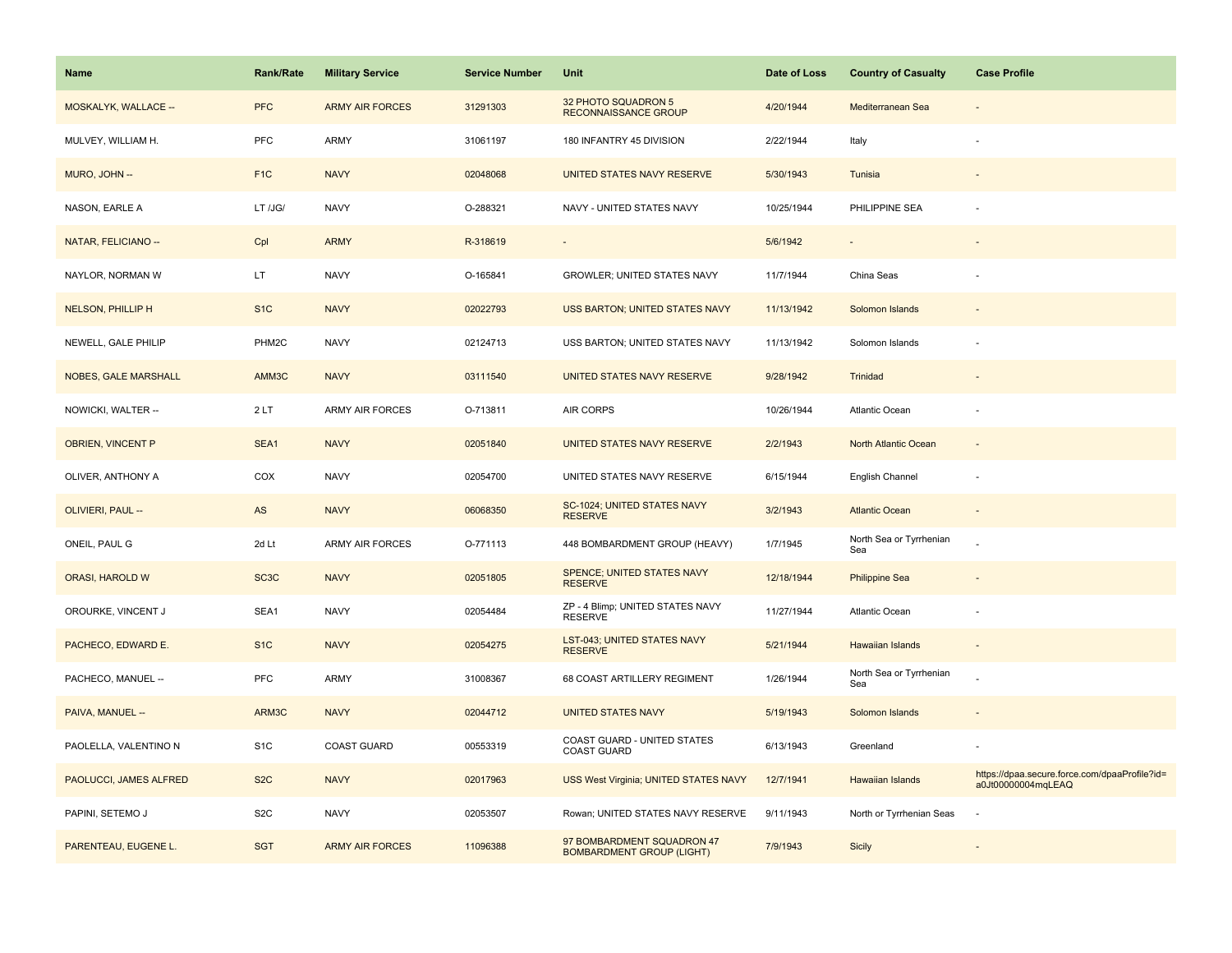| Name                        | <b>Rank/Rate</b>  | <b>Military Service</b> | <b>Service Number</b> | Unit                                                           | Date of Loss | <b>Country of Casualty</b>     | <b>Case Profile</b>                                                 |
|-----------------------------|-------------------|-------------------------|-----------------------|----------------------------------------------------------------|--------------|--------------------------------|---------------------------------------------------------------------|
| MOSKALYK, WALLACE --        | <b>PFC</b>        | <b>ARMY AIR FORCES</b>  | 31291303              | 32 PHOTO SQUADRON 5<br>RECONNAISSANCE GROUP                    | 4/20/1944    | Mediterranean Sea              |                                                                     |
| MULVEY, WILLIAM H.          | PFC               | ARMY                    | 31061197              | 180 INFANTRY 45 DIVISION                                       | 2/22/1944    | Italy                          |                                                                     |
| MURO, JOHN --               | F <sub>1</sub> C  | <b>NAVY</b>             | 02048068              | UNITED STATES NAVY RESERVE                                     | 5/30/1943    | Tunisia                        |                                                                     |
| NASON, EARLE A              | LT /JG/           | <b>NAVY</b>             | O-288321              | NAVY - UNITED STATES NAVY                                      | 10/25/1944   | PHILIPPINE SEA                 |                                                                     |
| NATAR, FELICIANO --         | Cpl               | <b>ARMY</b>             | R-318619              |                                                                | 5/6/1942     |                                |                                                                     |
| NAYLOR, NORMAN W            | LT.               | <b>NAVY</b>             | O-165841              | GROWLER; UNITED STATES NAVY                                    | 11/7/1944    | China Seas                     |                                                                     |
| NELSON, PHILLIP H           | S <sub>1</sub> C  | <b>NAVY</b>             | 02022793              | USS BARTON; UNITED STATES NAVY                                 | 11/13/1942   | Solomon Islands                |                                                                     |
| NEWELL, GALE PHILIP         | PHM2C             | <b>NAVY</b>             | 02124713              | USS BARTON; UNITED STATES NAVY                                 | 11/13/1942   | Solomon Islands                |                                                                     |
| <b>NOBES, GALE MARSHALL</b> | AMM3C             | <b>NAVY</b>             | 03111540              | UNITED STATES NAVY RESERVE                                     | 9/28/1942    | Trinidad                       |                                                                     |
| NOWICKI, WALTER --          | 2LT               | ARMY AIR FORCES         | O-713811              | AIR CORPS                                                      | 10/26/1944   | Atlantic Ocean                 |                                                                     |
| <b>OBRIEN, VINCENT P</b>    | SEA1              | <b>NAVY</b>             | 02051840              | UNITED STATES NAVY RESERVE                                     | 2/2/1943     | North Atlantic Ocean           |                                                                     |
| OLIVER, ANTHONY A           | COX               | <b>NAVY</b>             | 02054700              | UNITED STATES NAVY RESERVE                                     | 6/15/1944    | English Channel                |                                                                     |
| OLIVIERI, PAUL --           | $\mathsf{AS}$     | <b>NAVY</b>             | 06068350              | SC-1024; UNITED STATES NAVY<br><b>RESERVE</b>                  | 3/2/1943     | <b>Atlantic Ocean</b>          |                                                                     |
| ONEIL, PAUL G               | 2d Lt             | ARMY AIR FORCES         | O-771113              | 448 BOMBARDMENT GROUP (HEAVY)                                  | 1/7/1945     | North Sea or Tyrrhenian<br>Sea |                                                                     |
| ORASI, HAROLD W             | SC <sub>3</sub> C | <b>NAVY</b>             | 02051805              | SPENCE; UNITED STATES NAVY<br><b>RESERVE</b>                   | 12/18/1944   | <b>Philippine Sea</b>          |                                                                     |
| OROURKE, VINCENT J          | SEA1              | <b>NAVY</b>             | 02054484              | ZP - 4 Blimp; UNITED STATES NAVY<br><b>RESERVE</b>             | 11/27/1944   | Atlantic Ocean                 |                                                                     |
| PACHECO, EDWARD E.          | S <sub>1</sub> C  | <b>NAVY</b>             | 02054275              | <b>LST-043; UNITED STATES NAVY</b><br><b>RESERVE</b>           | 5/21/1944    | <b>Hawaiian Islands</b>        |                                                                     |
| PACHECO, MANUEL --          | <b>PFC</b>        | ARMY                    | 31008367              | 68 COAST ARTILLERY REGIMENT                                    | 1/26/1944    | North Sea or Tyrrhenian<br>Sea |                                                                     |
| PAIVA, MANUEL --            | ARM3C             | <b>NAVY</b>             | 02044712              | <b>UNITED STATES NAVY</b>                                      | 5/19/1943    | Solomon Islands                |                                                                     |
| PAOLELLA, VALENTINO N       | S <sub>1</sub> C  | <b>COAST GUARD</b>      | 00553319              | COAST GUARD - UNITED STATES<br><b>COAST GUARD</b>              | 6/13/1943    | Greenland                      |                                                                     |
| PAOLUCCI, JAMES ALFRED      | S <sub>2</sub> C  | <b>NAVY</b>             | 02017963              | USS West Virginia; UNITED STATES NAVY                          | 12/7/1941    | Hawaiian Islands               | https://dpaa.secure.force.com/dpaaProfile?id=<br>a0Jt00000004mqLEAQ |
| PAPINI, SETEMO J            | S <sub>2</sub> C  | <b>NAVY</b>             | 02053507              | Rowan; UNITED STATES NAVY RESERVE                              | 9/11/1943    | North or Tyrrhenian Seas       |                                                                     |
| PARENTEAU, EUGENE L.        | <b>SGT</b>        | <b>ARMY AIR FORCES</b>  | 11096388              | 97 BOMBARDMENT SQUADRON 47<br><b>BOMBARDMENT GROUP (LIGHT)</b> | 7/9/1943     | <b>Sicily</b>                  |                                                                     |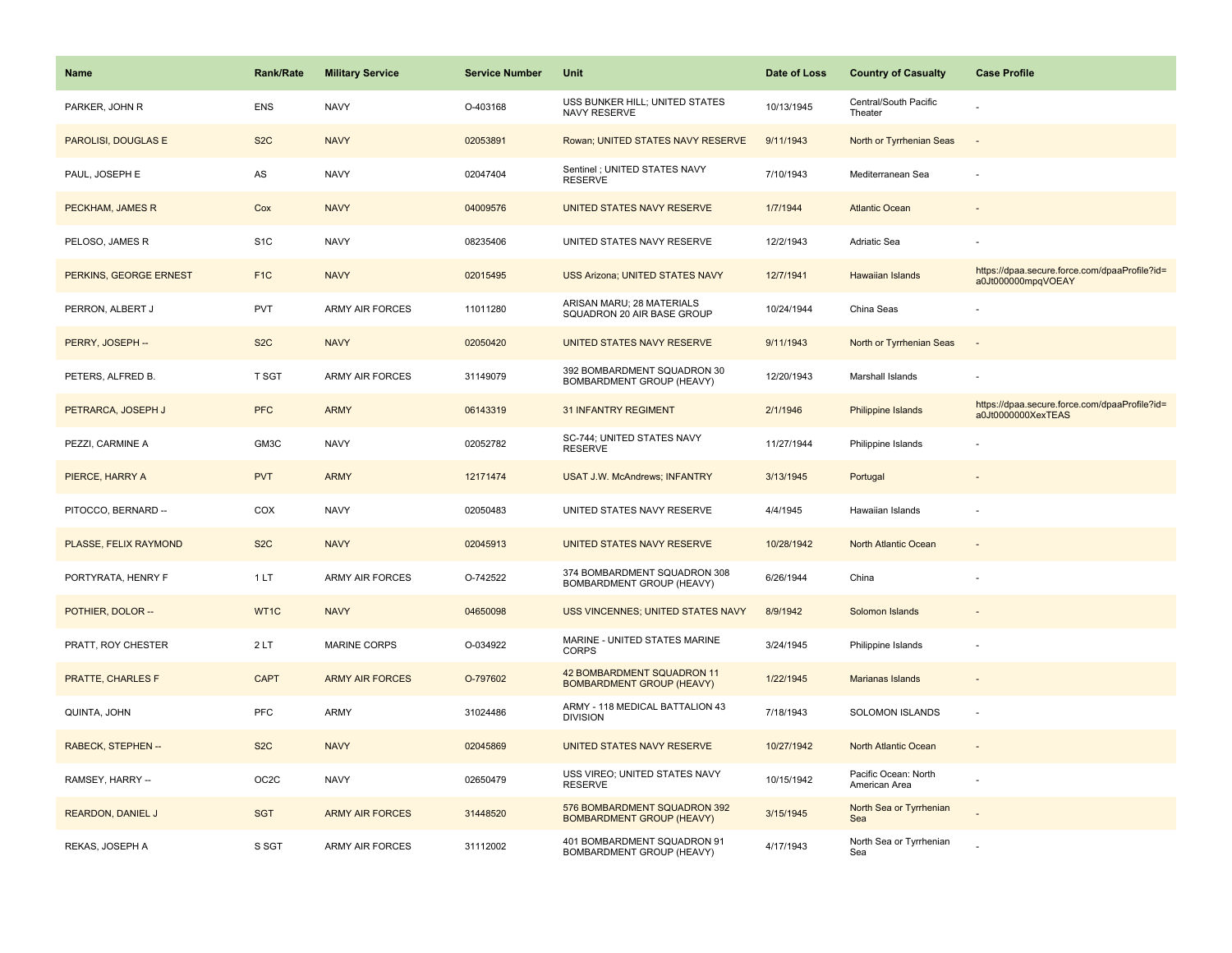| <b>Name</b>              | <b>Rank/Rate</b>  | <b>Military Service</b> | <b>Service Number</b> | Unit                                                             | Date of Loss | <b>Country of Casualty</b>            | <b>Case Profile</b>                                                 |
|--------------------------|-------------------|-------------------------|-----------------------|------------------------------------------------------------------|--------------|---------------------------------------|---------------------------------------------------------------------|
| PARKER, JOHN R           | <b>ENS</b>        | <b>NAVY</b>             | O-403168              | USS BUNKER HILL; UNITED STATES<br>NAVY RESERVE                   | 10/13/1945   | Central/South Pacific<br>Theater      |                                                                     |
| PAROLISI, DOUGLAS E      | S <sub>2</sub> C  | <b>NAVY</b>             | 02053891              | Rowan; UNITED STATES NAVY RESERVE                                | 9/11/1943    | North or Tyrrhenian Seas              | $\sim$                                                              |
| PAUL, JOSEPH E           | AS                | <b>NAVY</b>             | 02047404              | Sentinel ; UNITED STATES NAVY<br><b>RESERVE</b>                  | 7/10/1943    | Mediterranean Sea                     |                                                                     |
| PECKHAM, JAMES R         | Cox               | <b>NAVY</b>             | 04009576              | UNITED STATES NAVY RESERVE                                       | 1/7/1944     | <b>Atlantic Ocean</b>                 |                                                                     |
| PELOSO, JAMES R          | S <sub>1</sub> C  | <b>NAVY</b>             | 08235406              | UNITED STATES NAVY RESERVE                                       | 12/2/1943    | Adriatic Sea                          |                                                                     |
| PERKINS, GEORGE ERNEST   | F <sub>1</sub> C  | <b>NAVY</b>             | 02015495              | USS Arizona; UNITED STATES NAVY                                  | 12/7/1941    | Hawaiian Islands                      | https://dpaa.secure.force.com/dpaaProfile?id=<br>a0Jt000000mpqVOEAY |
| PERRON, ALBERT J         | <b>PVT</b>        | <b>ARMY AIR FORCES</b>  | 11011280              | ARISAN MARU; 28 MATERIALS<br>SQUADRON 20 AIR BASE GROUP          | 10/24/1944   | China Seas                            |                                                                     |
| PERRY, JOSEPH --         | S <sub>2</sub> C  | <b>NAVY</b>             | 02050420              | UNITED STATES NAVY RESERVE                                       | 9/11/1943    | North or Tyrrhenian Seas              | $\sim$                                                              |
| PETERS, ALFRED B.        | T SGT             | <b>ARMY AIR FORCES</b>  | 31149079              | 392 BOMBARDMENT SQUADRON 30<br>BOMBARDMENT GROUP (HEAVY)         | 12/20/1943   | Marshall Islands                      |                                                                     |
| PETRARCA, JOSEPH J       | <b>PFC</b>        | <b>ARMY</b>             | 06143319              | <b>31 INFANTRY REGIMENT</b>                                      | 2/1/1946     | <b>Philippine Islands</b>             | https://dpaa.secure.force.com/dpaaProfile?id=<br>a0Jt0000000XexTEAS |
| PEZZI, CARMINE A         | GM3C              | <b>NAVY</b>             | 02052782              | SC-744; UNITED STATES NAVY<br><b>RESERVE</b>                     | 11/27/1944   | Philippine Islands                    |                                                                     |
| PIERCE, HARRY A          | <b>PVT</b>        | <b>ARMY</b>             | 12171474              | <b>USAT J.W. McAndrews; INFANTRY</b>                             | 3/13/1945    | Portugal                              |                                                                     |
| PITOCCO, BERNARD --      | COX               | <b>NAVY</b>             | 02050483              | UNITED STATES NAVY RESERVE                                       | 4/4/1945     | Hawaiian Islands                      |                                                                     |
| PLASSE, FELIX RAYMOND    | S <sub>2</sub> C  | <b>NAVY</b>             | 02045913              | UNITED STATES NAVY RESERVE                                       | 10/28/1942   | North Atlantic Ocean                  | $\sim$                                                              |
| PORTYRATA, HENRY F       | 1 LT              | <b>ARMY AIR FORCES</b>  | O-742522              | 374 BOMBARDMENT SQUADRON 308<br>BOMBARDMENT GROUP (HEAVY)        | 6/26/1944    | China                                 |                                                                     |
| POTHIER, DOLOR --        | WT1C              | <b>NAVY</b>             | 04650098              | <b>USS VINCENNES; UNITED STATES NAVY</b>                         | 8/9/1942     | Solomon Islands                       |                                                                     |
| PRATT, ROY CHESTER       | 2LT               | <b>MARINE CORPS</b>     | O-034922              | MARINE - UNITED STATES MARINE<br><b>CORPS</b>                    | 3/24/1945    | Philippine Islands                    |                                                                     |
| PRATTE, CHARLES F        | <b>CAPT</b>       | <b>ARMY AIR FORCES</b>  | O-797602              | 42 BOMBARDMENT SQUADRON 11<br><b>BOMBARDMENT GROUP (HEAVY)</b>   | 1/22/1945    | Marianas Islands                      |                                                                     |
| QUINTA, JOHN             | <b>PFC</b>        | <b>ARMY</b>             | 31024486              | ARMY - 118 MEDICAL BATTALION 43<br><b>DIVISION</b>               | 7/18/1943    | <b>SOLOMON ISLANDS</b>                | $\sim$                                                              |
| RABECK, STEPHEN --       | S <sub>2</sub> C  | <b>NAVY</b>             | 02045869              | UNITED STATES NAVY RESERVE                                       | 10/27/1942   | North Atlantic Ocean                  | $\sim$                                                              |
| RAMSEY, HARRY --         | OC <sub>2</sub> C | <b>NAVY</b>             | 02650479              | USS VIREO; UNITED STATES NAVY<br><b>RESERVE</b>                  | 10/15/1942   | Pacific Ocean: North<br>American Area |                                                                     |
| <b>REARDON, DANIEL J</b> | <b>SGT</b>        | <b>ARMY AIR FORCES</b>  | 31448520              | 576 BOMBARDMENT SQUADRON 392<br><b>BOMBARDMENT GROUP (HEAVY)</b> | 3/15/1945    | North Sea or Tyrrhenian<br>Sea        |                                                                     |
| REKAS, JOSEPH A          | S SGT             | <b>ARMY AIR FORCES</b>  | 31112002              | 401 BOMBARDMENT SQUADRON 91<br>BOMBARDMENT GROUP (HEAVY)         | 4/17/1943    | North Sea or Tyrrhenian<br>Sea        |                                                                     |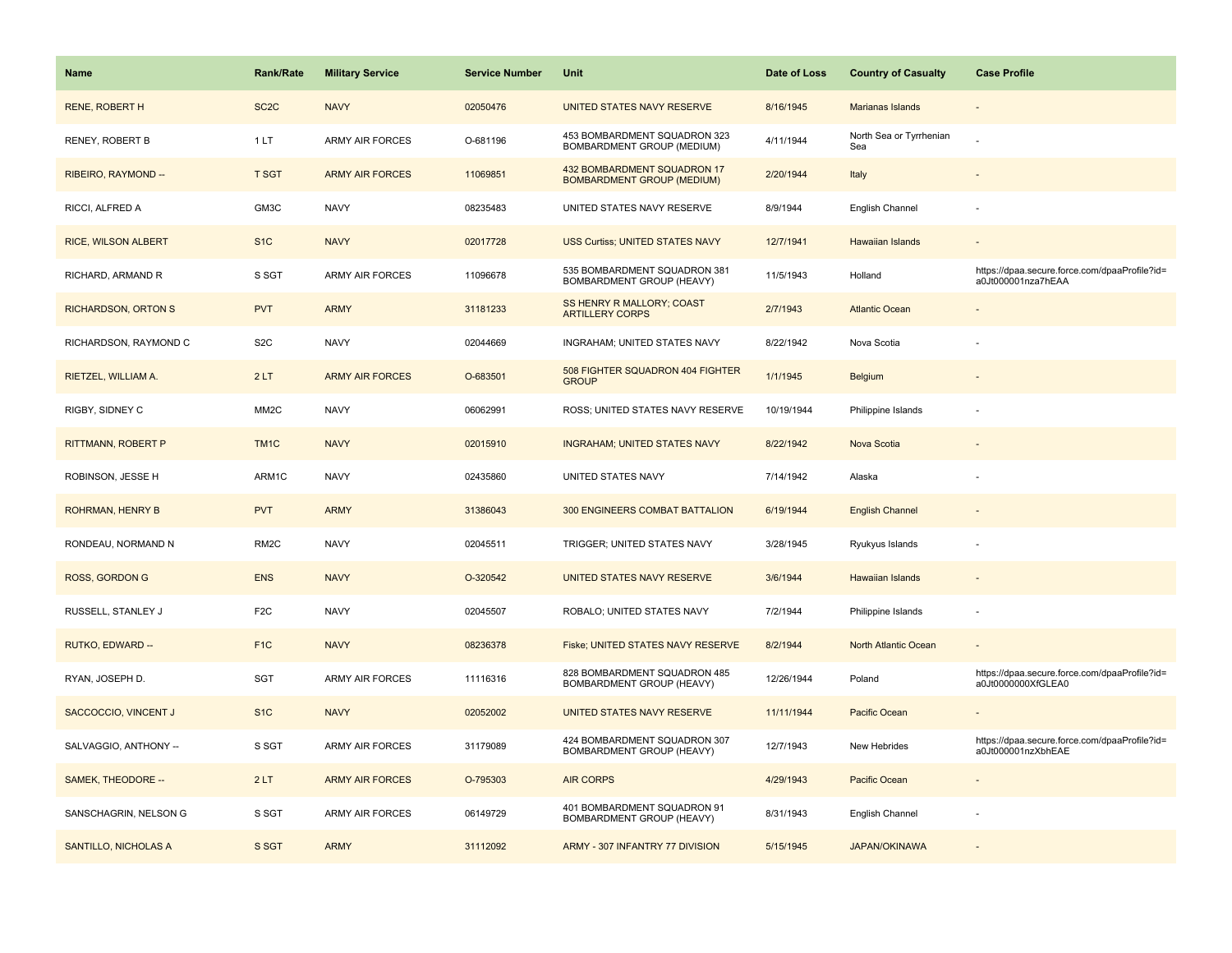| <b>Name</b>                 | <b>Rank/Rate</b>  | <b>Military Service</b> | <b>Service Number</b> | Unit                                                             | Date of Loss | <b>Country of Casualty</b>     | <b>Case Profile</b>                                                 |
|-----------------------------|-------------------|-------------------------|-----------------------|------------------------------------------------------------------|--------------|--------------------------------|---------------------------------------------------------------------|
| <b>RENE, ROBERT H</b>       | SC <sub>2</sub> C | <b>NAVY</b>             | 02050476              | UNITED STATES NAVY RESERVE                                       | 8/16/1945    | Marianas Islands               |                                                                     |
| RENEY, ROBERT B             | 1LT               | <b>ARMY AIR FORCES</b>  | O-681196              | 453 BOMBARDMENT SQUADRON 323<br>BOMBARDMENT GROUP (MEDIUM)       | 4/11/1944    | North Sea or Tyrrhenian<br>Sea |                                                                     |
| RIBEIRO, RAYMOND --         | <b>T SGT</b>      | <b>ARMY AIR FORCES</b>  | 11069851              | 432 BOMBARDMENT SQUADRON 17<br><b>BOMBARDMENT GROUP (MEDIUM)</b> | 2/20/1944    | Italy                          |                                                                     |
| RICCI, ALFRED A             | GM3C              | <b>NAVY</b>             | 08235483              | UNITED STATES NAVY RESERVE                                       | 8/9/1944     | English Channel                |                                                                     |
| <b>RICE, WILSON ALBERT</b>  | S <sub>1</sub> C  | <b>NAVY</b>             | 02017728              | <b>USS Curtiss; UNITED STATES NAVY</b>                           | 12/7/1941    | Hawaiian Islands               |                                                                     |
| RICHARD, ARMAND R           | S SGT             | <b>ARMY AIR FORCES</b>  | 11096678              | 535 BOMBARDMENT SQUADRON 381<br>BOMBARDMENT GROUP (HEAVY)        | 11/5/1943    | Holland                        | https://dpaa.secure.force.com/dpaaProfile?id=<br>a0Jt000001nza7hEAA |
| <b>RICHARDSON, ORTON S</b>  | <b>PVT</b>        | <b>ARMY</b>             | 31181233              | SS HENRY R MALLORY; COAST<br><b>ARTILLERY CORPS</b>              | 2/7/1943     | <b>Atlantic Ocean</b>          |                                                                     |
| RICHARDSON, RAYMOND C       | S <sub>2</sub> C  | <b>NAVY</b>             | 02044669              | INGRAHAM; UNITED STATES NAVY                                     | 8/22/1942    | Nova Scotia                    |                                                                     |
| RIETZEL, WILLIAM A.         | 2LT               | <b>ARMY AIR FORCES</b>  | O-683501              | 508 FIGHTER SQUADRON 404 FIGHTER<br><b>GROUP</b>                 | 1/1/1945     | Belgium                        |                                                                     |
| RIGBY, SIDNEY C             | MM <sub>2</sub> C | <b>NAVY</b>             | 06062991              | ROSS; UNITED STATES NAVY RESERVE                                 | 10/19/1944   | Philippine Islands             |                                                                     |
| <b>RITTMANN, ROBERT P</b>   | TM <sub>1</sub> C | <b>NAVY</b>             | 02015910              | <b>INGRAHAM; UNITED STATES NAVY</b>                              | 8/22/1942    | Nova Scotia                    |                                                                     |
| ROBINSON, JESSE H           | ARM1C             | <b>NAVY</b>             | 02435860              | UNITED STATES NAVY                                               | 7/14/1942    | Alaska                         |                                                                     |
| <b>ROHRMAN, HENRY B</b>     | <b>PVT</b>        | <b>ARMY</b>             | 31386043              | 300 ENGINEERS COMBAT BATTALION                                   | 6/19/1944    | <b>English Channel</b>         |                                                                     |
| RONDEAU, NORMAND N          | RM <sub>2</sub> C | <b>NAVY</b>             | 02045511              | TRIGGER; UNITED STATES NAVY                                      | 3/28/1945    | Ryukyus Islands                |                                                                     |
| <b>ROSS, GORDON G</b>       | <b>ENS</b>        | <b>NAVY</b>             | O-320542              | UNITED STATES NAVY RESERVE                                       | 3/6/1944     | Hawaiian Islands               |                                                                     |
| RUSSELL, STANLEY J          | F <sub>2</sub> C  | <b>NAVY</b>             | 02045507              | ROBALO; UNITED STATES NAVY                                       | 7/2/1944     | Philippine Islands             |                                                                     |
| RUTKO, EDWARD --            | F <sub>1C</sub>   | <b>NAVY</b>             | 08236378              | Fiske; UNITED STATES NAVY RESERVE                                | 8/2/1944     | North Atlantic Ocean           |                                                                     |
| RYAN, JOSEPH D.             | SGT               | <b>ARMY AIR FORCES</b>  | 11116316              | 828 BOMBARDMENT SQUADRON 485<br>BOMBARDMENT GROUP (HEAVY)        | 12/26/1944   | Poland                         | https://dpaa.secure.force.com/dpaaProfile?id=<br>a0Jt0000000XfGLEA0 |
| SACCOCCIO, VINCENT J        | S <sub>1</sub> C  | <b>NAVY</b>             | 02052002              | UNITED STATES NAVY RESERVE                                       | 11/11/1944   | <b>Pacific Ocean</b>           |                                                                     |
| SALVAGGIO, ANTHONY --       | S SGT             | <b>ARMY AIR FORCES</b>  | 31179089              | 424 BOMBARDMENT SQUADRON 307<br>BOMBARDMENT GROUP (HEAVY)        | 12/7/1943    | New Hebrides                   | https://dpaa.secure.force.com/dpaaProfile?id=<br>a0Jt000001nzXbhEAE |
| SAMEK, THEODORE --          | 2LT               | <b>ARMY AIR FORCES</b>  | O-795303              | <b>AIR CORPS</b>                                                 | 4/29/1943    | <b>Pacific Ocean</b>           |                                                                     |
| SANSCHAGRIN, NELSON G       | S SGT             | ARMY AIR FORCES         | 06149729              | 401 BOMBARDMENT SQUADRON 91<br>BOMBARDMENT GROUP (HEAVY)         | 8/31/1943    | English Channel                |                                                                     |
| <b>SANTILLO, NICHOLAS A</b> | S SGT             | <b>ARMY</b>             | 31112092              | ARMY - 307 INFANTRY 77 DIVISION                                  | 5/15/1945    | <b>JAPAN/OKINAWA</b>           |                                                                     |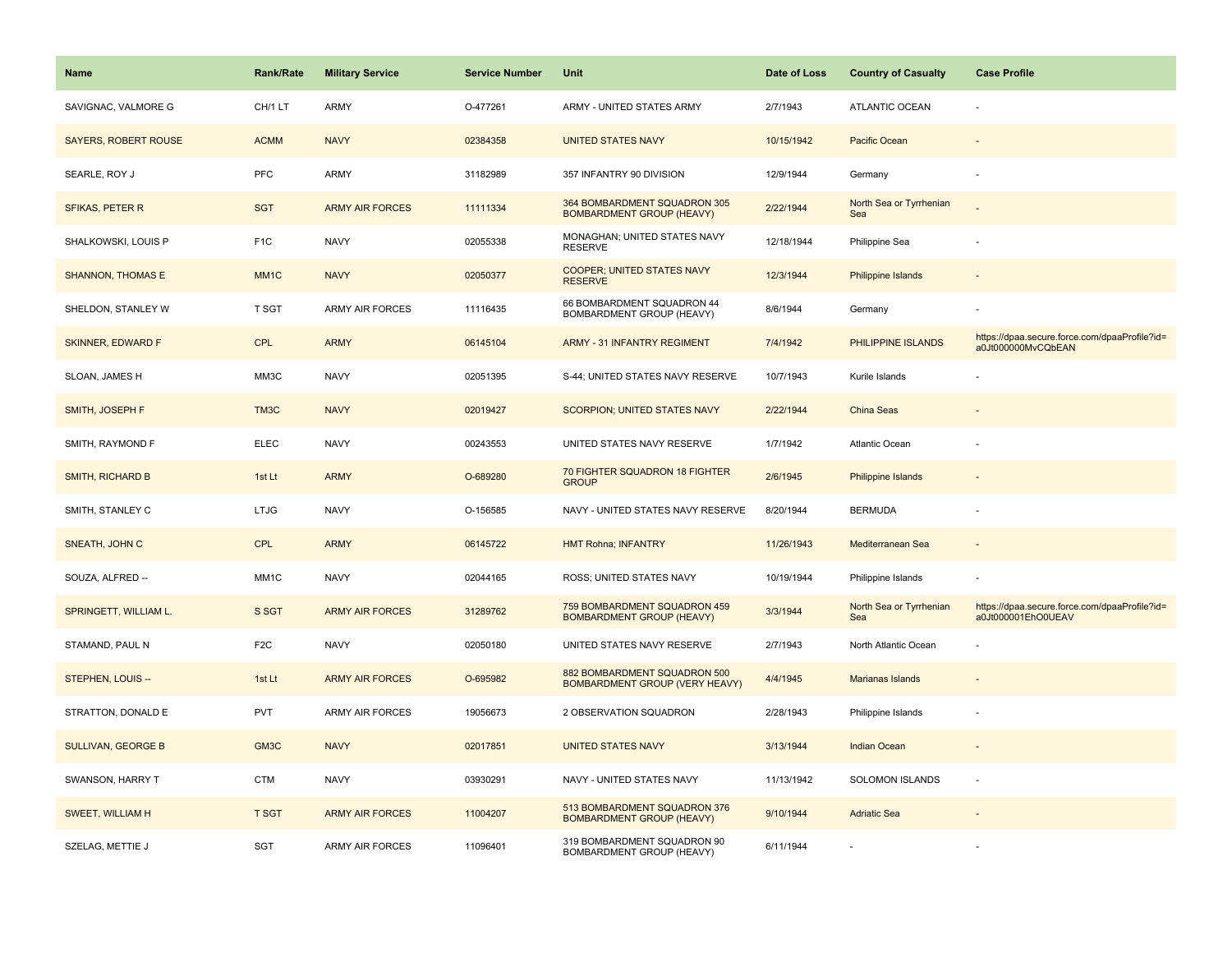| <b>Name</b>              | <b>Rank/Rate</b>  | <b>Military Service</b> | <b>Service Number</b> | Unit                                                                  | Date of Loss | <b>Country of Casualty</b>     | <b>Case Profile</b>                                                 |
|--------------------------|-------------------|-------------------------|-----------------------|-----------------------------------------------------------------------|--------------|--------------------------------|---------------------------------------------------------------------|
| SAVIGNAC, VALMORE G      | CH/1 LT           | <b>ARMY</b>             | O-477261              | ARMY - UNITED STATES ARMY                                             | 2/7/1943     | <b>ATLANTIC OCEAN</b>          |                                                                     |
| SAYERS, ROBERT ROUSE     | <b>ACMM</b>       | <b>NAVY</b>             | 02384358              | <b>UNITED STATES NAVY</b>                                             | 10/15/1942   | Pacific Ocean                  |                                                                     |
| SEARLE, ROY J            | <b>PFC</b>        | ARMY                    | 31182989              | 357 INFANTRY 90 DIVISION                                              | 12/9/1944    | Germany                        |                                                                     |
| <b>SFIKAS, PETER R</b>   | <b>SGT</b>        | <b>ARMY AIR FORCES</b>  | 11111334              | 364 BOMBARDMENT SQUADRON 305<br><b>BOMBARDMENT GROUP (HEAVY)</b>      | 2/22/1944    | North Sea or Tyrrhenian<br>Sea |                                                                     |
| SHALKOWSKI, LOUIS P      | F <sub>1</sub> C  | <b>NAVY</b>             | 02055338              | MONAGHAN; UNITED STATES NAVY<br><b>RESERVE</b>                        | 12/18/1944   | Philippine Sea                 |                                                                     |
| <b>SHANNON, THOMAS E</b> | MM <sub>1</sub> C | <b>NAVY</b>             | 02050377              | COOPER; UNITED STATES NAVY<br><b>RESERVE</b>                          | 12/3/1944    | Philippine Islands             |                                                                     |
| SHELDON, STANLEY W       | T SGT             | ARMY AIR FORCES         | 11116435              | 66 BOMBARDMENT SQUADRON 44<br>BOMBARDMENT GROUP (HEAVY)               | 8/6/1944     | Germany                        |                                                                     |
| <b>SKINNER, EDWARD F</b> | <b>CPL</b>        | <b>ARMY</b>             | 06145104              | <b>ARMY - 31 INFANTRY REGIMENT</b>                                    | 7/4/1942     | PHILIPPINE ISLANDS             | https://dpaa.secure.force.com/dpaaProfile?id=<br>a0Jt000000MvCQbEAN |
| SLOAN, JAMES H           | MM3C              | <b>NAVY</b>             | 02051395              | S-44; UNITED STATES NAVY RESERVE                                      | 10/7/1943    | Kurile Islands                 |                                                                     |
| SMITH, JOSEPH F          | TM3C              | <b>NAVY</b>             | 02019427              | SCORPION; UNITED STATES NAVY                                          | 2/22/1944    | China Seas                     |                                                                     |
| SMITH, RAYMOND F         | <b>ELEC</b>       | <b>NAVY</b>             | 00243553              | UNITED STATES NAVY RESERVE                                            | 1/7/1942     | Atlantic Ocean                 |                                                                     |
| SMITH, RICHARD B         | 1st Lt            | <b>ARMY</b>             | O-689280              | 70 FIGHTER SQUADRON 18 FIGHTER<br><b>GROUP</b>                        | 2/6/1945     | Philippine Islands             |                                                                     |
| SMITH, STANLEY C         | <b>LTJG</b>       | <b>NAVY</b>             | O-156585              | NAVY - UNITED STATES NAVY RESERVE                                     | 8/20/1944    | <b>BERMUDA</b>                 |                                                                     |
| SNEATH, JOHN C           | <b>CPL</b>        | <b>ARMY</b>             | 06145722              | <b>HMT Rohna; INFANTRY</b>                                            | 11/26/1943   | Mediterranean Sea              |                                                                     |
| SOUZA, ALFRED --         | MM1C              | <b>NAVY</b>             | 02044165              | ROSS; UNITED STATES NAVY                                              | 10/19/1944   | Philippine Islands             |                                                                     |
| SPRINGETT, WILLIAM L.    | S SGT             | <b>ARMY AIR FORCES</b>  | 31289762              | 759 BOMBARDMENT SQUADRON 459<br><b>BOMBARDMENT GROUP (HEAVY)</b>      | 3/3/1944     | North Sea or Tyrrhenian<br>Sea | https://dpaa.secure.force.com/dpaaProfile?id=<br>a0Jt000001EhO0UEAV |
| STAMAND, PAUL N          | F <sub>2</sub> C  | <b>NAVY</b>             | 02050180              | UNITED STATES NAVY RESERVE                                            | 2/7/1943     | North Atlantic Ocean           |                                                                     |
| STEPHEN, LOUIS --        | 1st Lt            | <b>ARMY AIR FORCES</b>  | O-695982              | 882 BOMBARDMENT SQUADRON 500<br><b>BOMBARDMENT GROUP (VERY HEAVY)</b> | 4/4/1945     | Marianas Islands               |                                                                     |
| STRATTON, DONALD E       | <b>PVT</b>        | ARMY AIR FORCES         | 19056673              | 2 OBSERVATION SQUADRON                                                | 2/28/1943    | Philippine Islands             |                                                                     |
| SULLIVAN, GEORGE B       | GM3C              | <b>NAVY</b>             | 02017851              | <b>UNITED STATES NAVY</b>                                             | 3/13/1944    | <b>Indian Ocean</b>            |                                                                     |
| SWANSON, HARRY T         | <b>CTM</b>        | <b>NAVY</b>             | 03930291              | NAVY - UNITED STATES NAVY                                             | 11/13/1942   | SOLOMON ISLANDS                | ÷.                                                                  |
| SWEET, WILLIAM H         | <b>T SGT</b>      | <b>ARMY AIR FORCES</b>  | 11004207              | 513 BOMBARDMENT SQUADRON 376<br><b>BOMBARDMENT GROUP (HEAVY)</b>      | 9/10/1944    | <b>Adriatic Sea</b>            |                                                                     |
| SZELAG, METTIE J         | <b>SGT</b>        | <b>ARMY AIR FORCES</b>  | 11096401              | 319 BOMBARDMENT SQUADRON 90<br>BOMBARDMENT GROUP (HEAVY)              | 6/11/1944    |                                |                                                                     |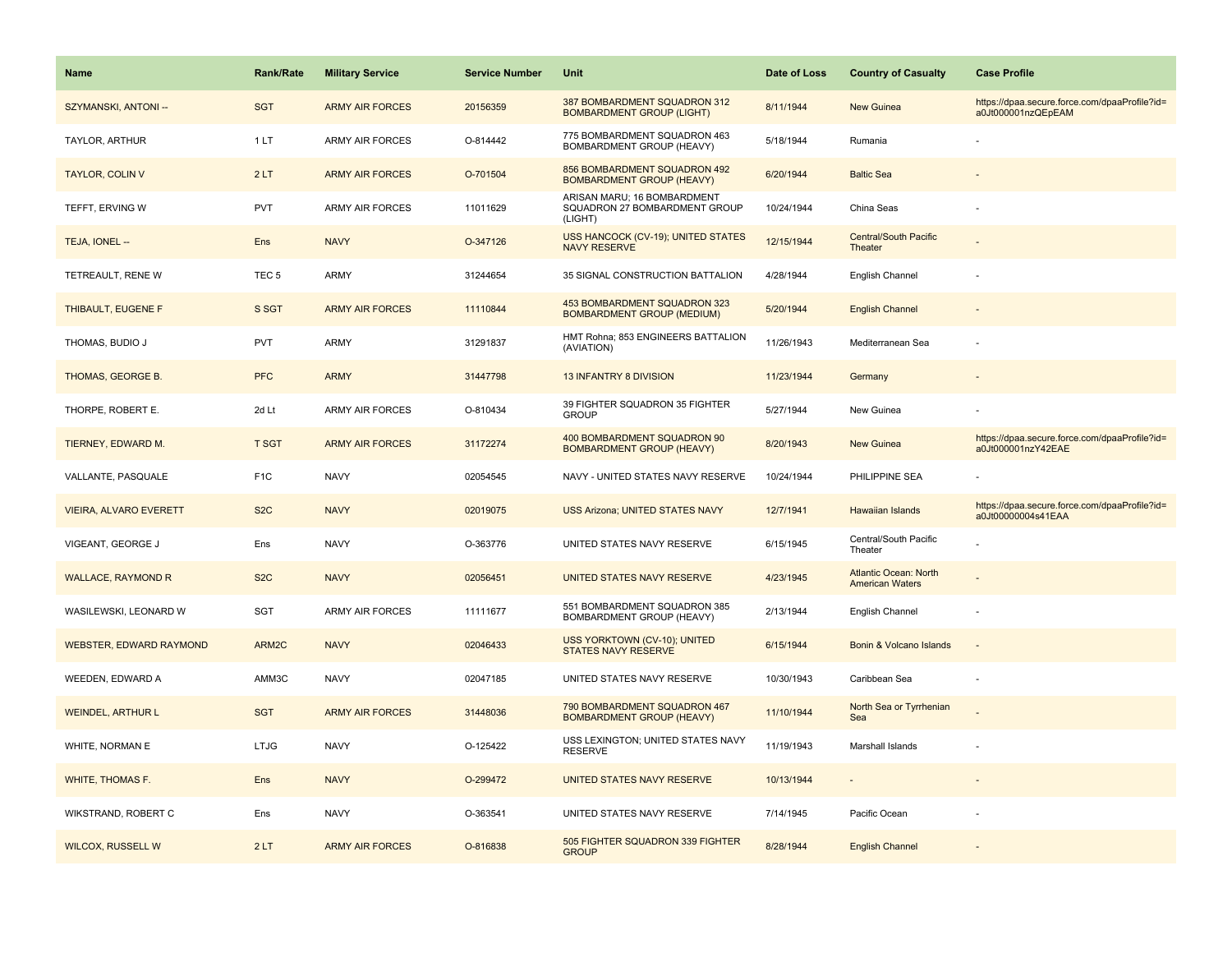| <b>Name</b>                    | <b>Rank/Rate</b> | <b>Military Service</b> | <b>Service Number</b> | Unit                                                                    | Date of Loss | <b>Country of Casualty</b>                             | <b>Case Profile</b>                                                 |
|--------------------------------|------------------|-------------------------|-----------------------|-------------------------------------------------------------------------|--------------|--------------------------------------------------------|---------------------------------------------------------------------|
| SZYMANSKI, ANTONI --           | <b>SGT</b>       | <b>ARMY AIR FORCES</b>  | 20156359              | 387 BOMBARDMENT SQUADRON 312<br><b>BOMBARDMENT GROUP (LIGHT)</b>        | 8/11/1944    | New Guinea                                             | https://dpaa.secure.force.com/dpaaProfile?id=<br>a0Jt000001nzQEpEAM |
| TAYLOR, ARTHUR                 | 1LT              | <b>ARMY AIR FORCES</b>  | O-814442              | 775 BOMBARDMENT SQUADRON 463<br><b>BOMBARDMENT GROUP (HEAVY)</b>        | 5/18/1944    | Rumania                                                |                                                                     |
| <b>TAYLOR, COLIN V</b>         | 2LT              | <b>ARMY AIR FORCES</b>  | O-701504              | 856 BOMBARDMENT SQUADRON 492<br><b>BOMBARDMENT GROUP (HEAVY)</b>        | 6/20/1944    | <b>Baltic Sea</b>                                      |                                                                     |
| TEFFT, ERVING W                | <b>PVT</b>       | <b>ARMY AIR FORCES</b>  | 11011629              | ARISAN MARU; 16 BOMBARDMENT<br>SQUADRON 27 BOMBARDMENT GROUP<br>(LIGHT) | 10/24/1944   | China Seas                                             |                                                                     |
| TEJA, IONEL --                 | Ens              | <b>NAVY</b>             | O-347126              | <b>USS HANCOCK (CV-19); UNITED STATES</b><br><b>NAVY RESERVE</b>        | 12/15/1944   | <b>Central/South Pacific</b><br>Theater                |                                                                     |
| TETREAULT, RENE W              | TEC <sub>5</sub> | <b>ARMY</b>             | 31244654              | 35 SIGNAL CONSTRUCTION BATTALION                                        | 4/28/1944    | English Channel                                        |                                                                     |
| THIBAULT, EUGENE F             | S SGT            | <b>ARMY AIR FORCES</b>  | 11110844              | 453 BOMBARDMENT SQUADRON 323<br><b>BOMBARDMENT GROUP (MEDIUM)</b>       | 5/20/1944    | <b>English Channel</b>                                 |                                                                     |
| THOMAS, BUDIO J                | <b>PVT</b>       | <b>ARMY</b>             | 31291837              | HMT Rohna; 853 ENGINEERS BATTALION<br>(AVIATION)                        | 11/26/1943   | Mediterranean Sea                                      |                                                                     |
| THOMAS, GEORGE B.              | <b>PFC</b>       | <b>ARMY</b>             | 31447798              | 13 INFANTRY 8 DIVISION                                                  | 11/23/1944   | Germany                                                |                                                                     |
| THORPE, ROBERT E.              | 2d Lt            | <b>ARMY AIR FORCES</b>  | O-810434              | 39 FIGHTER SQUADRON 35 FIGHTER<br><b>GROUP</b>                          | 5/27/1944    | New Guinea                                             |                                                                     |
| TIERNEY, EDWARD M.             | <b>T SGT</b>     | <b>ARMY AIR FORCES</b>  | 31172274              | 400 BOMBARDMENT SQUADRON 90<br><b>BOMBARDMENT GROUP (HEAVY)</b>         | 8/20/1943    | <b>New Guinea</b>                                      | https://dpaa.secure.force.com/dpaaProfile?id=<br>a0Jt000001nzY42EAE |
| VALLANTE, PASQUALE             | F <sub>1</sub> C | <b>NAVY</b>             | 02054545              | NAVY - UNITED STATES NAVY RESERVE                                       | 10/24/1944   | PHILIPPINE SEA                                         |                                                                     |
| <b>VIEIRA, ALVARO EVERETT</b>  | S <sub>2</sub> C | <b>NAVY</b>             | 02019075              | <b>USS Arizona; UNITED STATES NAVY</b>                                  | 12/7/1941    | <b>Hawaiian Islands</b>                                | https://dpaa.secure.force.com/dpaaProfile?id=<br>a0Jt00000004s41EAA |
| VIGEANT, GEORGE J              | Ens              | <b>NAVY</b>             | O-363776              | UNITED STATES NAVY RESERVE                                              | 6/15/1945    | Central/South Pacific<br>Theater                       |                                                                     |
| <b>WALLACE, RAYMOND R</b>      | S <sub>2</sub> C | <b>NAVY</b>             | 02056451              | UNITED STATES NAVY RESERVE                                              | 4/23/1945    | <b>Atlantic Ocean: North</b><br><b>American Waters</b> |                                                                     |
| WASILEWSKI, LEONARD W          | SGT              | <b>ARMY AIR FORCES</b>  | 11111677              | 551 BOMBARDMENT SQUADRON 385<br>BOMBARDMENT GROUP (HEAVY)               | 2/13/1944    | English Channel                                        |                                                                     |
| <b>WEBSTER, EDWARD RAYMOND</b> | ARM2C            | <b>NAVY</b>             | 02046433              | USS YORKTOWN (CV-10); UNITED<br><b>STATES NAVY RESERVE</b>              | 6/15/1944    | Bonin & Volcano Islands                                | $\sim$                                                              |
| WEEDEN, EDWARD A               | AMM3C            | <b>NAVY</b>             | 02047185              | UNITED STATES NAVY RESERVE                                              | 10/30/1943   | Caribbean Sea                                          |                                                                     |
| <b>WEINDEL, ARTHUR L</b>       | <b>SGT</b>       | <b>ARMY AIR FORCES</b>  | 31448036              | 790 BOMBARDMENT SQUADRON 467<br><b>BOMBARDMENT GROUP (HEAVY)</b>        | 11/10/1944   | North Sea or Tyrrhenian<br>Sea                         |                                                                     |
| WHITE, NORMAN E                | <b>LTJG</b>      | <b>NAVY</b>             | O-125422              | USS LEXINGTON; UNITED STATES NAVY<br><b>RESERVE</b>                     | 11/19/1943   | Marshall Islands                                       |                                                                     |
| WHITE, THOMAS F.               | Ens              | <b>NAVY</b>             | O-299472              | UNITED STATES NAVY RESERVE                                              | 10/13/1944   |                                                        |                                                                     |
| WIKSTRAND, ROBERT C            | Ens              | <b>NAVY</b>             | O-363541              | UNITED STATES NAVY RESERVE                                              | 7/14/1945    | Pacific Ocean                                          |                                                                     |
| <b>WILCOX, RUSSELL W</b>       | 2LT              | <b>ARMY AIR FORCES</b>  | O-816838              | 505 FIGHTER SQUADRON 339 FIGHTER<br><b>GROUP</b>                        | 8/28/1944    | <b>English Channel</b>                                 |                                                                     |